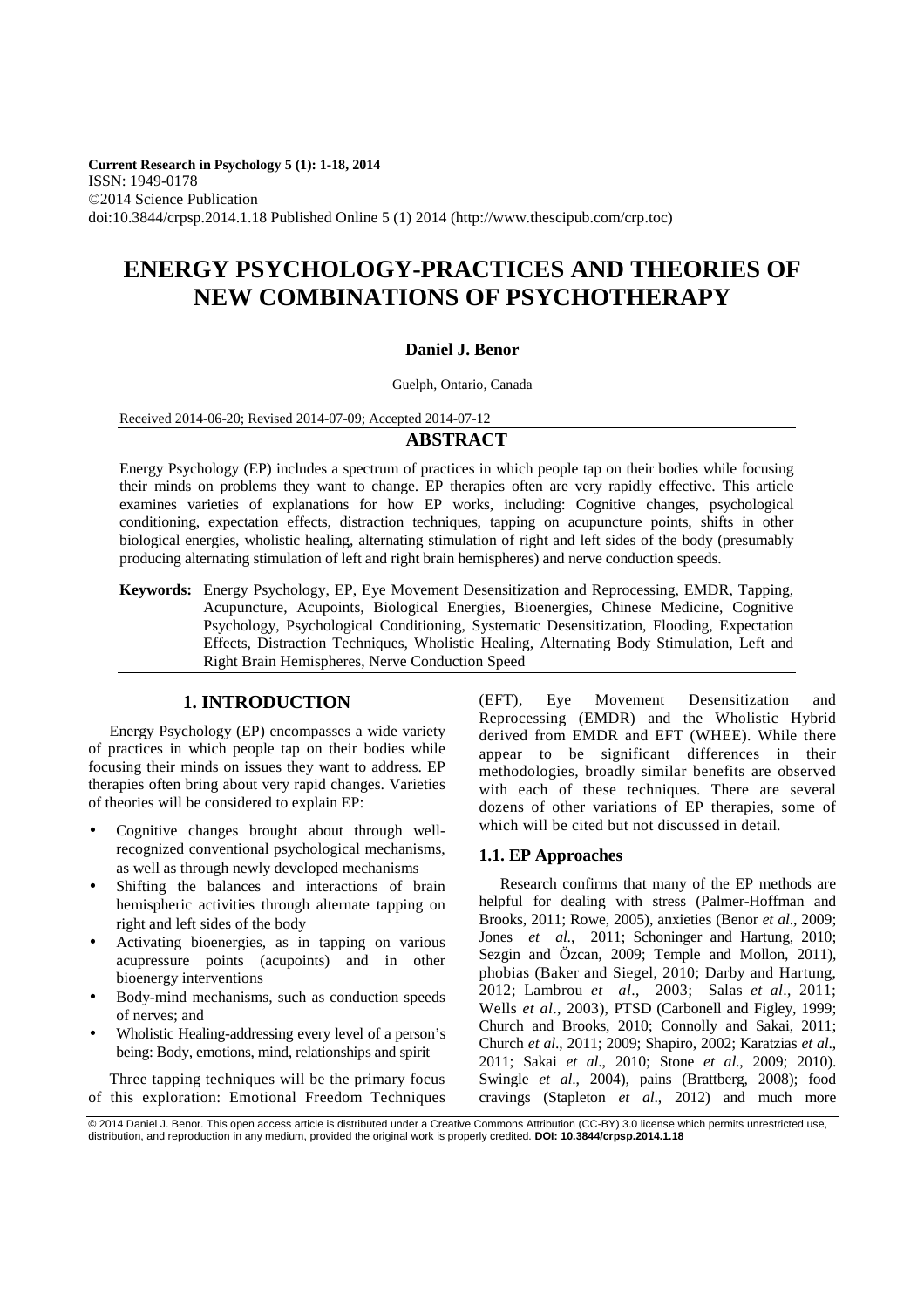**Current Research in Psychology 5 (1): 1-18, 2014**  ISSN: 1949-0178 ©2014 Science Publication doi:10.3844/crpsp.2014.1.18 Published Online 5 (1) 2014 (http://www.thescipub.com/crp.toc)

# **ENERGY PSYCHOLOGY-PRACTICES AND THEORIES OF NEW COMBINATIONS OF PSYCHOTHERAPY**

#### **Daniel J. Benor**

Guelph, Ontario, Canada

Received 2014-06-20; Revised 2014-07-09; Accepted 2014-07-12

## **ABSTRACT**

Energy Psychology (EP) includes a spectrum of practices in which people tap on their bodies while focusing their minds on problems they want to change. EP therapies often are very rapidly effective. This article examines varieties of explanations for how EP works, including: Cognitive changes, psychological conditioning, expectation effects, distraction techniques, tapping on acupuncture points, shifts in other biological energies, wholistic healing, alternating stimulation of right and left sides of the body (presumably producing alternating stimulation of left and right brain hemispheres) and nerve conduction speeds.

**Keywords:** Energy Psychology, EP, Eye Movement Desensitization and Reprocessing, EMDR, Tapping, Acupuncture, Acupoints, Biological Energies, Bioenergies, Chinese Medicine, Cognitive Psychology, Psychological Conditioning, Systematic Desensitization, Flooding, Expectation Effects, Distraction Techniques, Wholistic Healing, Alternating Body Stimulation, Left and Right Brain Hemispheres, Nerve Conduction Speed

### **1. INTRODUCTION**

Energy Psychology (EP) encompasses a wide variety of practices in which people tap on their bodies while focusing their minds on issues they want to address. EP therapies often bring about very rapid changes. Varieties of theories will be considered to explain EP:

- Cognitive changes brought about through wellrecognized conventional psychological mechanisms, as well as through newly developed mechanisms
- Shifting the balances and interactions of brain hemispheric activities through alternate tapping on right and left sides of the body
- Activating bioenergies, as in tapping on various acupressure points (acupoints) and in other bioenergy interventions
- Body-mind mechanisms, such as conduction speeds of nerves; and
- Wholistic Healing-addressing every level of a person's being: Body, emotions, mind, relationships and spirit

Three tapping techniques will be the primary focus of this exploration: Emotional Freedom Techniques (EFT), Eye Movement Desensitization and Reprocessing (EMDR) and the Wholistic Hybrid derived from EMDR and EFT (WHEE). While there appear to be significant differences in their methodologies, broadly similar benefits are observed with each of these techniques. There are several dozens of other variations of EP therapies, some of which will be cited but not discussed in detail.

### **1.1. EP Approaches**

Research confirms that many of the EP methods are helpful for dealing with stress (Palmer-Hoffman and Brooks, 2011; Rowe, 2005), anxieties (Benor *et al*., 2009; Jones *et al*., 2011; Schoninger and Hartung, 2010; Sezgin and Özcan, 2009; Temple and Mollon, 2011), phobias (Baker and Siegel, 2010; Darby and Hartung, 2012; Lambrou *et al*., 2003; Salas *et al*., 2011; Wells *et al*., 2003), PTSD (Carbonell and Figley, 1999; Church and Brooks, 2010; Connolly and Sakai, 2011; Church *et al*., 2011; 2009; Shapiro, 2002; Karatzias *et al*., 2011; Sakai *et al*., 2010; Stone *et al*., 2009; 2010). Swingle *et al*., 2004), pains (Brattberg, 2008); food cravings (Stapleton *et al*., 2012) and much more

© 2014 Daniel J. Benor. This open access article is distributed under a Creative Commons Attribution (CC-BY) 3.0 license which permits unrestricted use, distribution, and reproduction in any medium, provided the original work is properly credited. **DOI: 10.3844/crpsp.2014.1.18**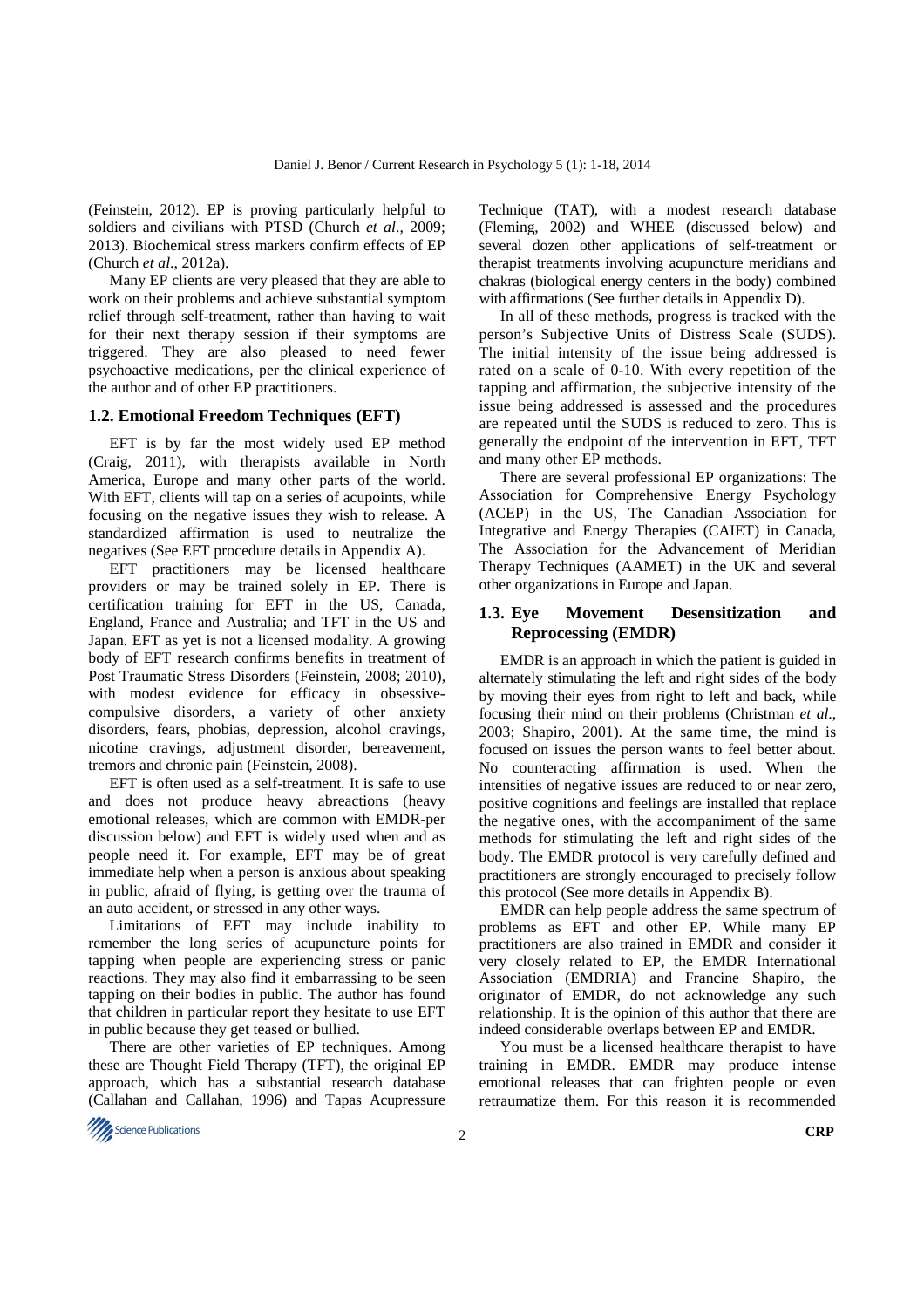(Feinstein, 2012). EP is proving particularly helpful to soldiers and civilians with PTSD (Church *et al*., 2009; 2013). Biochemical stress markers confirm effects of EP (Church *et al*., 2012a).

Many EP clients are very pleased that they are able to work on their problems and achieve substantial symptom relief through self-treatment, rather than having to wait for their next therapy session if their symptoms are triggered. They are also pleased to need fewer psychoactive medications, per the clinical experience of the author and of other EP practitioners.

#### **1.2. Emotional Freedom Techniques (EFT)**

EFT is by far the most widely used EP method (Craig, 2011), with therapists available in North America, Europe and many other parts of the world. With EFT, clients will tap on a series of acupoints, while focusing on the negative issues they wish to release. A standardized affirmation is used to neutralize the negatives (See EFT procedure details in Appendix A).

EFT practitioners may be licensed healthcare providers or may be trained solely in EP. There is certification training for EFT in the US, Canada, England, France and Australia; and TFT in the US and Japan. EFT as yet is not a licensed modality. A growing body of EFT research confirms benefits in treatment of Post Traumatic Stress Disorders (Feinstein, 2008; 2010), with modest evidence for efficacy in obsessivecompulsive disorders, a variety of other anxiety disorders, fears, phobias, depression, alcohol cravings, nicotine cravings, adjustment disorder, bereavement, tremors and chronic pain (Feinstein, 2008).

EFT is often used as a self-treatment. It is safe to use and does not produce heavy abreactions (heavy emotional releases, which are common with EMDR-per discussion below) and EFT is widely used when and as people need it. For example, EFT may be of great immediate help when a person is anxious about speaking in public, afraid of flying, is getting over the trauma of an auto accident, or stressed in any other ways.

Limitations of EFT may include inability to remember the long series of acupuncture points for tapping when people are experiencing stress or panic reactions. They may also find it embarrassing to be seen tapping on their bodies in public. The author has found that children in particular report they hesitate to use EFT in public because they get teased or bullied.

There are other varieties of EP techniques. Among these are Thought Field Therapy (TFT), the original EP approach, which has a substantial research database (Callahan and Callahan, 1996) and Tapas Acupressure Technique (TAT), with a modest research database (Fleming, 2002) and WHEE (discussed below) and several dozen other applications of self-treatment or therapist treatments involving acupuncture meridians and chakras (biological energy centers in the body) combined with affirmations (See further details in Appendix D).

In all of these methods, progress is tracked with the person's Subjective Units of Distress Scale (SUDS). The initial intensity of the issue being addressed is rated on a scale of 0-10. With every repetition of the tapping and affirmation, the subjective intensity of the issue being addressed is assessed and the procedures are repeated until the SUDS is reduced to zero. This is generally the endpoint of the intervention in EFT, TFT and many other EP methods.

There are several professional EP organizations: The Association for Comprehensive Energy Psychology (ACEP) in the US, The Canadian Association for Integrative and Energy Therapies (CAIET) in Canada, The Association for the Advancement of Meridian Therapy Techniques (AAMET) in the UK and several other organizations in Europe and Japan.

## **1.3. Eye Movement Desensitization and Reprocessing (EMDR)**

EMDR is an approach in which the patient is guided in alternately stimulating the left and right sides of the body by moving their eyes from right to left and back, while focusing their mind on their problems (Christman *et al*., 2003; Shapiro, 2001). At the same time, the mind is focused on issues the person wants to feel better about. No counteracting affirmation is used. When the intensities of negative issues are reduced to or near zero, positive cognitions and feelings are installed that replace the negative ones, with the accompaniment of the same methods for stimulating the left and right sides of the body. The EMDR protocol is very carefully defined and practitioners are strongly encouraged to precisely follow this protocol (See more details in Appendix B).

EMDR can help people address the same spectrum of problems as EFT and other EP. While many EP practitioners are also trained in EMDR and consider it very closely related to EP, the EMDR International Association (EMDRIA) and Francine Shapiro, the originator of EMDR, do not acknowledge any such relationship. It is the opinion of this author that there are indeed considerable overlaps between EP and EMDR.

You must be a licensed healthcare therapist to have training in EMDR. EMDR may produce intense emotional releases that can frighten people or even retraumatize them. For this reason it is recommended

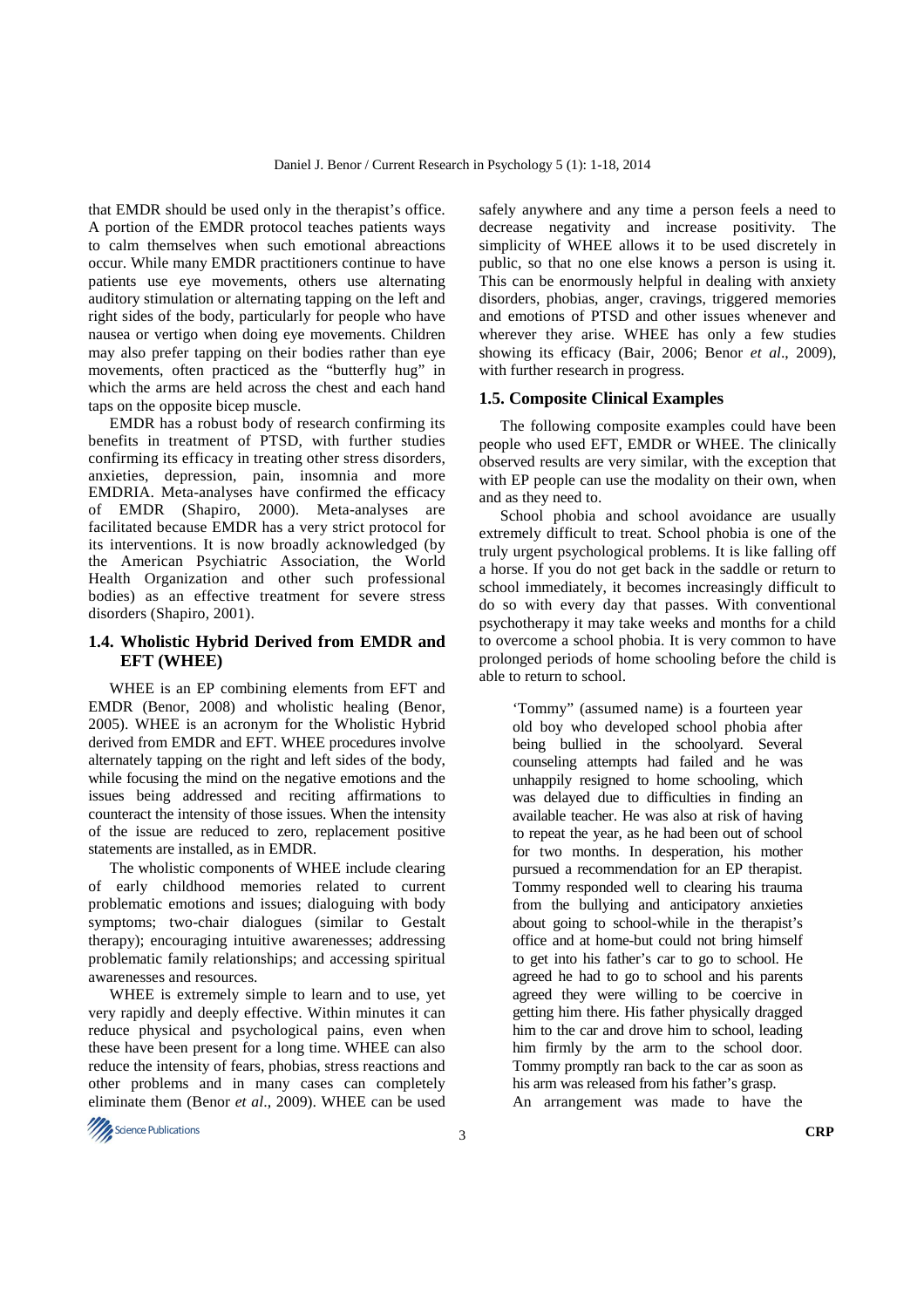that EMDR should be used only in the therapist's office. A portion of the EMDR protocol teaches patients ways to calm themselves when such emotional abreactions occur. While many EMDR practitioners continue to have patients use eye movements, others use alternating auditory stimulation or alternating tapping on the left and right sides of the body, particularly for people who have nausea or vertigo when doing eye movements. Children may also prefer tapping on their bodies rather than eye movements, often practiced as the "butterfly hug" in which the arms are held across the chest and each hand taps on the opposite bicep muscle.

EMDR has a robust body of research confirming its benefits in treatment of PTSD, with further studies confirming its efficacy in treating other stress disorders, anxieties, depression, pain, insomnia and more EMDRIA. Meta-analyses have confirmed the efficacy of EMDR (Shapiro, 2000). Meta-analyses are facilitated because EMDR has a very strict protocol for its interventions. It is now broadly acknowledged (by the American Psychiatric Association, the World Health Organization and other such professional bodies) as an effective treatment for severe stress disorders (Shapiro, 2001).

#### **1.4. Wholistic Hybrid Derived from EMDR and EFT (WHEE)**

WHEE is an EP combining elements from EFT and EMDR (Benor, 2008) and wholistic healing (Benor, 2005). WHEE is an acronym for the Wholistic Hybrid derived from EMDR and EFT. WHEE procedures involve alternately tapping on the right and left sides of the body, while focusing the mind on the negative emotions and the issues being addressed and reciting affirmations to counteract the intensity of those issues. When the intensity of the issue are reduced to zero, replacement positive statements are installed, as in EMDR.

The wholistic components of WHEE include clearing of early childhood memories related to current problematic emotions and issues; dialoguing with body symptoms; two-chair dialogues (similar to Gestalt therapy); encouraging intuitive awarenesses; addressing problematic family relationships; and accessing spiritual awarenesses and resources.

WHEE is extremely simple to learn and to use, yet very rapidly and deeply effective. Within minutes it can reduce physical and psychological pains, even when these have been present for a long time. WHEE can also reduce the intensity of fears, phobias, stress reactions and other problems and in many cases can completely eliminate them (Benor *et al*., 2009). WHEE can be used

safely anywhere and any time a person feels a need to decrease negativity and increase positivity. The simplicity of WHEE allows it to be used discretely in public, so that no one else knows a person is using it. This can be enormously helpful in dealing with anxiety disorders, phobias, anger, cravings, triggered memories and emotions of PTSD and other issues whenever and wherever they arise. WHEE has only a few studies showing its efficacy (Bair, 2006; Benor *et al*., 2009), with further research in progress.

#### **1.5. Composite Clinical Examples**

The following composite examples could have been people who used EFT, EMDR or WHEE. The clinically observed results are very similar, with the exception that with EP people can use the modality on their own, when and as they need to.

School phobia and school avoidance are usually extremely difficult to treat. School phobia is one of the truly urgent psychological problems. It is like falling off a horse. If you do not get back in the saddle or return to school immediately, it becomes increasingly difficult to do so with every day that passes. With conventional psychotherapy it may take weeks and months for a child to overcome a school phobia. It is very common to have prolonged periods of home schooling before the child is able to return to school.

'Tommy" (assumed name) is a fourteen year old boy who developed school phobia after being bullied in the schoolyard. Several counseling attempts had failed and he was unhappily resigned to home schooling, which was delayed due to difficulties in finding an available teacher. He was also at risk of having to repeat the year, as he had been out of school for two months. In desperation, his mother pursued a recommendation for an EP therapist. Tommy responded well to clearing his trauma from the bullying and anticipatory anxieties about going to school-while in the therapist's office and at home-but could not bring himself to get into his father's car to go to school. He agreed he had to go to school and his parents agreed they were willing to be coercive in getting him there. His father physically dragged him to the car and drove him to school, leading him firmly by the arm to the school door. Tommy promptly ran back to the car as soon as his arm was released from his father's grasp. An arrangement was made to have the

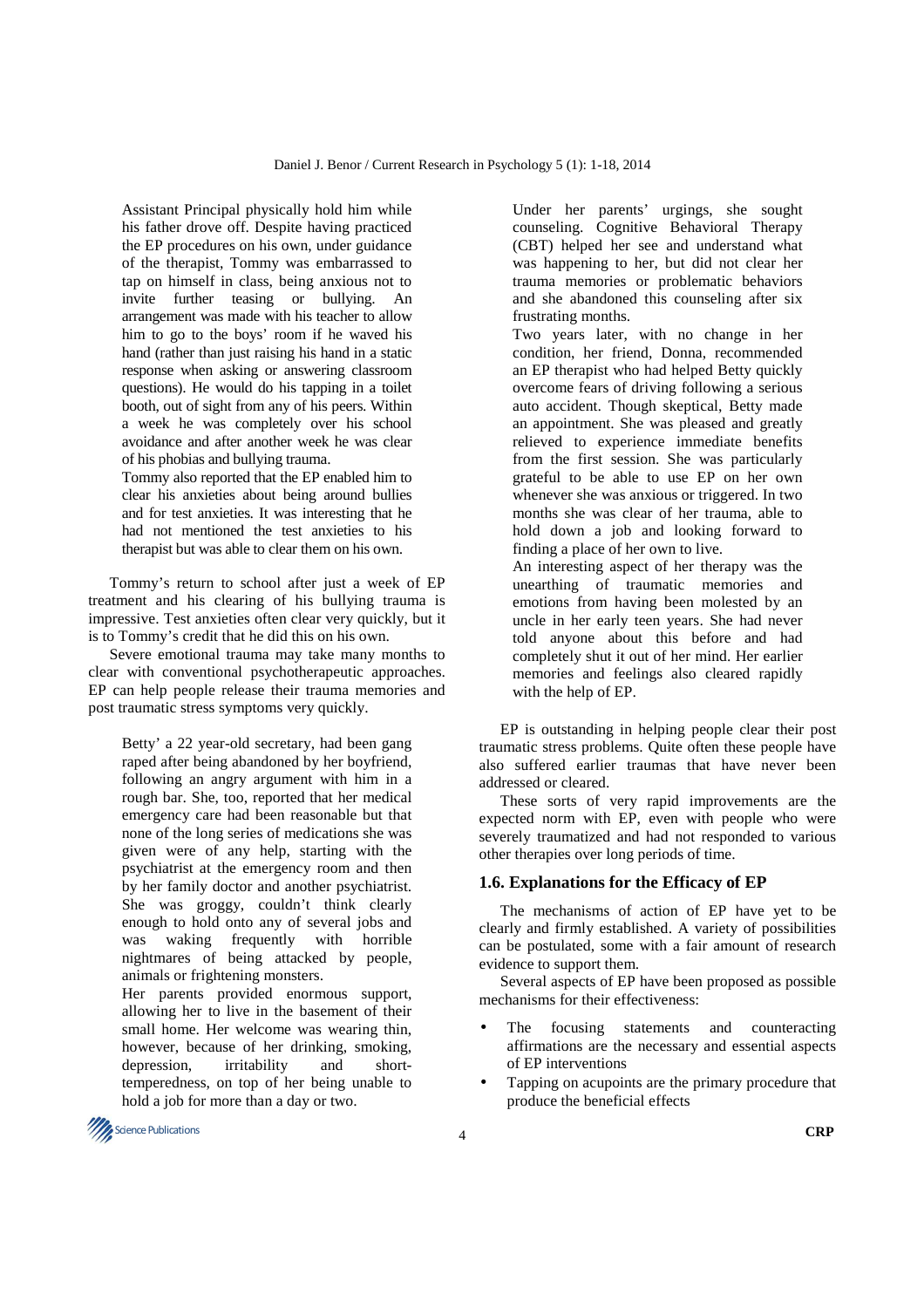Assistant Principal physically hold him while his father drove off. Despite having practiced the EP procedures on his own, under guidance of the therapist, Tommy was embarrassed to tap on himself in class, being anxious not to invite further teasing or bullying. An arrangement was made with his teacher to allow him to go to the boys' room if he waved his hand (rather than just raising his hand in a static response when asking or answering classroom questions). He would do his tapping in a toilet booth, out of sight from any of his peers. Within a week he was completely over his school avoidance and after another week he was clear of his phobias and bullying trauma.

Tommy also reported that the EP enabled him to clear his anxieties about being around bullies and for test anxieties. It was interesting that he had not mentioned the test anxieties to his therapist but was able to clear them on his own.

Tommy's return to school after just a week of EP treatment and his clearing of his bullying trauma is impressive. Test anxieties often clear very quickly, but it is to Tommy's credit that he did this on his own.

Severe emotional trauma may take many months to clear with conventional psychotherapeutic approaches. EP can help people release their trauma memories and post traumatic stress symptoms very quickly.

Betty' a 22 year-old secretary, had been gang raped after being abandoned by her boyfriend, following an angry argument with him in a rough bar. She, too, reported that her medical emergency care had been reasonable but that none of the long series of medications she was given were of any help, starting with the psychiatrist at the emergency room and then by her family doctor and another psychiatrist. She was groggy, couldn't think clearly enough to hold onto any of several jobs and was waking frequently with horrible nightmares of being attacked by people, animals or frightening monsters.

Her parents provided enormous support, allowing her to live in the basement of their small home. Her welcome was wearing thin, however, because of her drinking, smoking, depression, irritability and shorttemperedness, on top of her being unable to hold a job for more than a day or two.

Under her parents' urgings, she sought counseling. Cognitive Behavioral Therapy (CBT) helped her see and understand what was happening to her, but did not clear her trauma memories or problematic behaviors and she abandoned this counseling after six frustrating months.

Two years later, with no change in her condition, her friend, Donna, recommended an EP therapist who had helped Betty quickly overcome fears of driving following a serious auto accident. Though skeptical, Betty made an appointment. She was pleased and greatly relieved to experience immediate benefits from the first session. She was particularly grateful to be able to use EP on her own whenever she was anxious or triggered. In two months she was clear of her trauma, able to hold down a job and looking forward to finding a place of her own to live.

An interesting aspect of her therapy was the unearthing of traumatic memories and emotions from having been molested by an uncle in her early teen years. She had never told anyone about this before and had completely shut it out of her mind. Her earlier memories and feelings also cleared rapidly with the help of EP.

EP is outstanding in helping people clear their post traumatic stress problems. Quite often these people have also suffered earlier traumas that have never been addressed or cleared.

These sorts of very rapid improvements are the expected norm with EP, even with people who were severely traumatized and had not responded to various other therapies over long periods of time.

#### **1.6. Explanations for the Efficacy of EP**

The mechanisms of action of EP have yet to be clearly and firmly established. A variety of possibilities can be postulated, some with a fair amount of research evidence to support them.

Several aspects of EP have been proposed as possible mechanisms for their effectiveness:

- The focusing statements and counteracting affirmations are the necessary and essential aspects of EP interventions
- Tapping on acupoints are the primary procedure that produce the beneficial effects

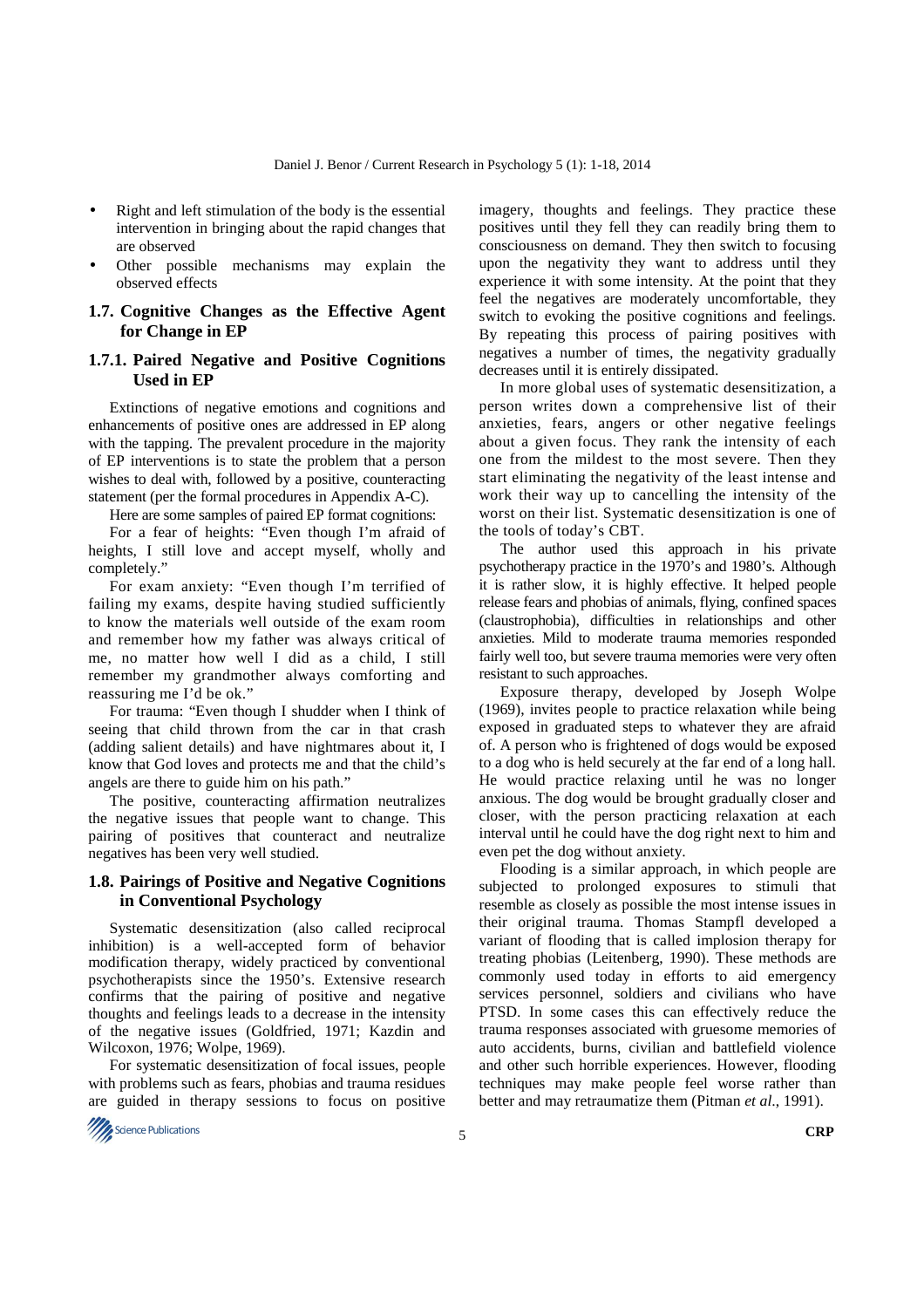- Right and left stimulation of the body is the essential intervention in bringing about the rapid changes that are observed
- Other possible mechanisms may explain the observed effects

## **1.7. Cognitive Changes as the Effective Agent for Change in EP**

### **1.7.1. Paired Negative and Positive Cognitions Used in EP**

Extinctions of negative emotions and cognitions and enhancements of positive ones are addressed in EP along with the tapping. The prevalent procedure in the majority of EP interventions is to state the problem that a person wishes to deal with, followed by a positive, counteracting statement (per the formal procedures in Appendix A-C).

Here are some samples of paired EP format cognitions:

For a fear of heights: "Even though I'm afraid of heights, I still love and accept myself, wholly and completely."

For exam anxiety: "Even though I'm terrified of failing my exams, despite having studied sufficiently to know the materials well outside of the exam room and remember how my father was always critical of me, no matter how well I did as a child, I still remember my grandmother always comforting and reassuring me I'd be ok."

For trauma: "Even though I shudder when I think of seeing that child thrown from the car in that crash (adding salient details) and have nightmares about it, I know that God loves and protects me and that the child's angels are there to guide him on his path."

The positive, counteracting affirmation neutralizes the negative issues that people want to change. This pairing of positives that counteract and neutralize negatives has been very well studied.

#### **1.8. Pairings of Positive and Negative Cognitions in Conventional Psychology**

Systematic desensitization (also called reciprocal inhibition) is a well-accepted form of behavior modification therapy, widely practiced by conventional psychotherapists since the 1950's. Extensive research confirms that the pairing of positive and negative thoughts and feelings leads to a decrease in the intensity of the negative issues (Goldfried, 1971; Kazdin and Wilcoxon, 1976; Wolpe, 1969).

For systematic desensitization of focal issues, people with problems such as fears, phobias and trauma residues are guided in therapy sessions to focus on positive imagery, thoughts and feelings. They practice these positives until they fell they can readily bring them to consciousness on demand. They then switch to focusing upon the negativity they want to address until they experience it with some intensity. At the point that they feel the negatives are moderately uncomfortable, they switch to evoking the positive cognitions and feelings. By repeating this process of pairing positives with negatives a number of times, the negativity gradually decreases until it is entirely dissipated.

In more global uses of systematic desensitization, a person writes down a comprehensive list of their anxieties, fears, angers or other negative feelings about a given focus. They rank the intensity of each one from the mildest to the most severe. Then they start eliminating the negativity of the least intense and work their way up to cancelling the intensity of the worst on their list. Systematic desensitization is one of the tools of today's CBT.

The author used this approach in his private psychotherapy practice in the 1970's and 1980's. Although it is rather slow, it is highly effective. It helped people release fears and phobias of animals, flying, confined spaces (claustrophobia), difficulties in relationships and other anxieties. Mild to moderate trauma memories responded fairly well too, but severe trauma memories were very often resistant to such approaches.

Exposure therapy, developed by Joseph Wolpe (1969), invites people to practice relaxation while being exposed in graduated steps to whatever they are afraid of. A person who is frightened of dogs would be exposed to a dog who is held securely at the far end of a long hall. He would practice relaxing until he was no longer anxious. The dog would be brought gradually closer and closer, with the person practicing relaxation at each interval until he could have the dog right next to him and even pet the dog without anxiety.

Flooding is a similar approach, in which people are subjected to prolonged exposures to stimuli that resemble as closely as possible the most intense issues in their original trauma. Thomas Stampfl developed a variant of flooding that is called implosion therapy for treating phobias (Leitenberg, 1990). These methods are commonly used today in efforts to aid emergency services personnel, soldiers and civilians who have PTSD. In some cases this can effectively reduce the trauma responses associated with gruesome memories of auto accidents, burns, civilian and battlefield violence and other such horrible experiences. However, flooding techniques may make people feel worse rather than better and may retraumatize them (Pitman *et al*., 1991).

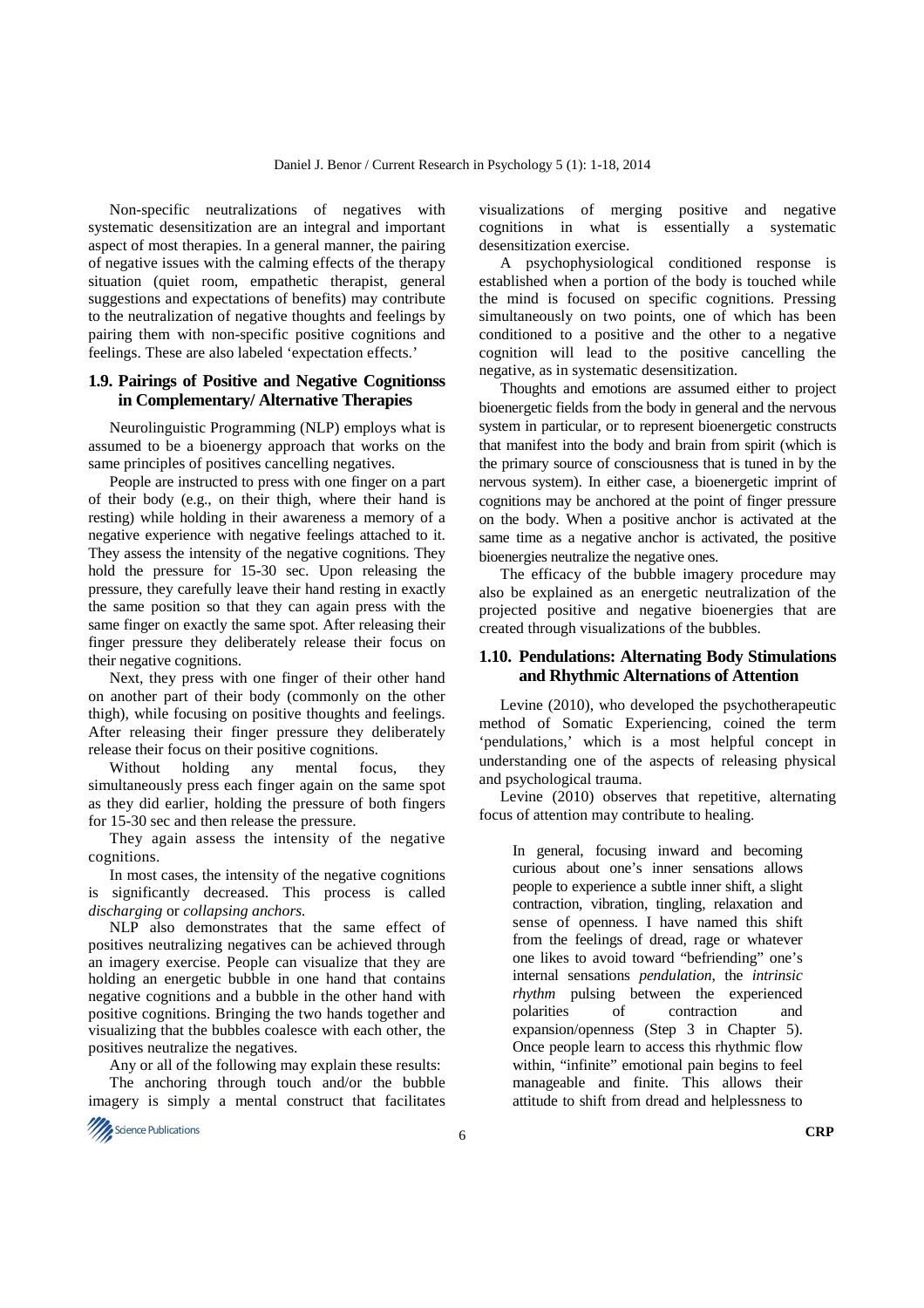Non-specific neutralizations of negatives with systematic desensitization are an integral and important aspect of most therapies. In a general manner, the pairing of negative issues with the calming effects of the therapy situation (quiet room, empathetic therapist, general suggestions and expectations of benefits) may contribute to the neutralization of negative thoughts and feelings by pairing them with non-specific positive cognitions and feelings. These are also labeled 'expectation effects.'

## **1.9. Pairings of Positive and Negative Cognitionss in Complementary/ Alternative Therapies**

Neurolinguistic Programming (NLP) employs what is assumed to be a bioenergy approach that works on the same principles of positives cancelling negatives.

People are instructed to press with one finger on a part of their body (e.g., on their thigh, where their hand is resting) while holding in their awareness a memory of a negative experience with negative feelings attached to it. They assess the intensity of the negative cognitions. They hold the pressure for 15-30 sec. Upon releasing the pressure, they carefully leave their hand resting in exactly the same position so that they can again press with the same finger on exactly the same spot. After releasing their finger pressure they deliberately release their focus on their negative cognitions.

Next, they press with one finger of their other hand on another part of their body (commonly on the other thigh), while focusing on positive thoughts and feelings. After releasing their finger pressure they deliberately release their focus on their positive cognitions.

Without holding any mental focus, they simultaneously press each finger again on the same spot as they did earlier, holding the pressure of both fingers for 15-30 sec and then release the pressure.

They again assess the intensity of the negative cognitions.

In most cases, the intensity of the negative cognitions is significantly decreased. This process is called *discharging* or *collapsing anchors.* 

NLP also demonstrates that the same effect of positives neutralizing negatives can be achieved through an imagery exercise. People can visualize that they are holding an energetic bubble in one hand that contains negative cognitions and a bubble in the other hand with positive cognitions. Bringing the two hands together and visualizing that the bubbles coalesce with each other, the positives neutralize the negatives.

Any or all of the following may explain these results: The anchoring through touch and/or the bubble imagery is simply a mental construct that facilitates

visualizations of merging positive and negative cognitions in what is essentially a systematic desensitization exercise.

A psychophysiological conditioned response is established when a portion of the body is touched while the mind is focused on specific cognitions. Pressing simultaneously on two points, one of which has been conditioned to a positive and the other to a negative cognition will lead to the positive cancelling the negative, as in systematic desensitization.

Thoughts and emotions are assumed either to project bioenergetic fields from the body in general and the nervous system in particular, or to represent bioenergetic constructs that manifest into the body and brain from spirit (which is the primary source of consciousness that is tuned in by the nervous system). In either case, a bioenergetic imprint of cognitions may be anchored at the point of finger pressure on the body. When a positive anchor is activated at the same time as a negative anchor is activated, the positive bioenergies neutralize the negative ones.

The efficacy of the bubble imagery procedure may also be explained as an energetic neutralization of the projected positive and negative bioenergies that are created through visualizations of the bubbles.

#### **1.10. Pendulations: Alternating Body Stimulations and Rhythmic Alternations of Attention**

Levine (2010), who developed the psychotherapeutic method of Somatic Experiencing, coined the term 'pendulations,' which is a most helpful concept in understanding one of the aspects of releasing physical and psychological trauma.

Levine (2010) observes that repetitive, alternating focus of attention may contribute to healing.

In general, focusing inward and becoming curious about one's inner sensations allows people to experience a subtle inner shift, a slight contraction, vibration, tingling, relaxation and sense of openness. I have named this shift from the feelings of dread, rage or whatever one likes to avoid toward "befriending" one's internal sensations *pendulation*, the *intrinsic rhythm* pulsing between the experienced polarities of contraction and expansion/openness (Step 3 in Chapter 5). Once people learn to access this rhythmic flow within, "infinite" emotional pain begins to feel manageable and finite. This allows their attitude to shift from dread and helplessness to

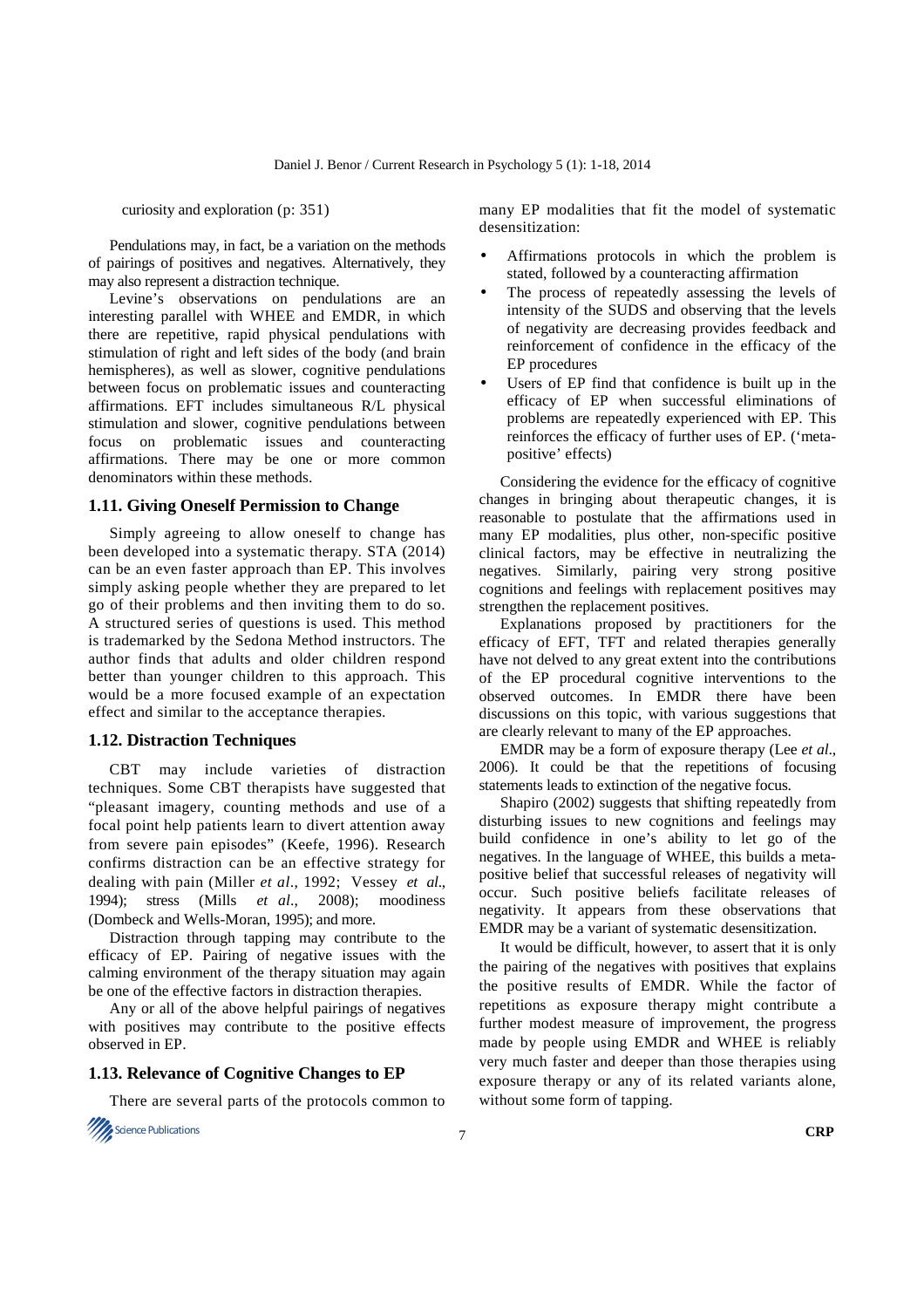curiosity and exploration (p: 351)

Pendulations may, in fact, be a variation on the methods of pairings of positives and negatives. Alternatively, they may also represent a distraction technique.

Levine's observations on pendulations are an interesting parallel with WHEE and EMDR, in which there are repetitive, rapid physical pendulations with stimulation of right and left sides of the body (and brain hemispheres), as well as slower, cognitive pendulations between focus on problematic issues and counteracting affirmations. EFT includes simultaneous R/L physical stimulation and slower, cognitive pendulations between focus on problematic issues and counteracting affirmations. There may be one or more common denominators within these methods.

#### **1.11. Giving Oneself Permission to Change**

Simply agreeing to allow oneself to change has been developed into a systematic therapy*.* STA (2014) can be an even faster approach than EP. This involves simply asking people whether they are prepared to let go of their problems and then inviting them to do so. A structured series of questions is used. This method is trademarked by the Sedona Method instructors. The author finds that adults and older children respond better than younger children to this approach. This would be a more focused example of an expectation effect and similar to the acceptance therapies.

#### **1.12. Distraction Techniques**

CBT may include varieties of distraction techniques. Some CBT therapists have suggested that "pleasant imagery, counting methods and use of a focal point help patients learn to divert attention away from severe pain episodes" (Keefe, 1996). Research confirms distraction can be an effective strategy for dealing with pain (Miller *et al*., 1992; Vessey *et al*., 1994); stress (Mills *et al*., 2008); moodiness (Dombeck and Wells-Moran, 1995); and more.

Distraction through tapping may contribute to the efficacy of EP. Pairing of negative issues with the calming environment of the therapy situation may again be one of the effective factors in distraction therapies.

Any or all of the above helpful pairings of negatives with positives may contribute to the positive effects observed in EP.

### **1.13. Relevance of Cognitive Changes to EP**

There are several parts of the protocols common to

Science Publications **CRP** 

many EP modalities that fit the model of systematic desensitization:

- Affirmations protocols in which the problem is stated, followed by a counteracting affirmation
- The process of repeatedly assessing the levels of intensity of the SUDS and observing that the levels of negativity are decreasing provides feedback and reinforcement of confidence in the efficacy of the EP procedures
- Users of EP find that confidence is built up in the efficacy of EP when successful eliminations of problems are repeatedly experienced with EP. This reinforces the efficacy of further uses of EP. ('metapositive' effects)

Considering the evidence for the efficacy of cognitive changes in bringing about therapeutic changes, it is reasonable to postulate that the affirmations used in many EP modalities, plus other, non-specific positive clinical factors, may be effective in neutralizing the negatives. Similarly, pairing very strong positive cognitions and feelings with replacement positives may strengthen the replacement positives.

Explanations proposed by practitioners for the efficacy of EFT, TFT and related therapies generally have not delved to any great extent into the contributions of the EP procedural cognitive interventions to the observed outcomes. In EMDR there have been discussions on this topic, with various suggestions that are clearly relevant to many of the EP approaches.

EMDR may be a form of exposure therapy (Lee *et al*., 2006). It could be that the repetitions of focusing statements leads to extinction of the negative focus.

Shapiro (2002) suggests that shifting repeatedly from disturbing issues to new cognitions and feelings may build confidence in one's ability to let go of the negatives. In the language of WHEE, this builds a metapositive belief that successful releases of negativity will occur. Such positive beliefs facilitate releases of negativity. It appears from these observations that EMDR may be a variant of systematic desensitization.

It would be difficult, however, to assert that it is only the pairing of the negatives with positives that explains the positive results of EMDR. While the factor of repetitions as exposure therapy might contribute a further modest measure of improvement, the progress made by people using EMDR and WHEE is reliably very much faster and deeper than those therapies using exposure therapy or any of its related variants alone, without some form of tapping.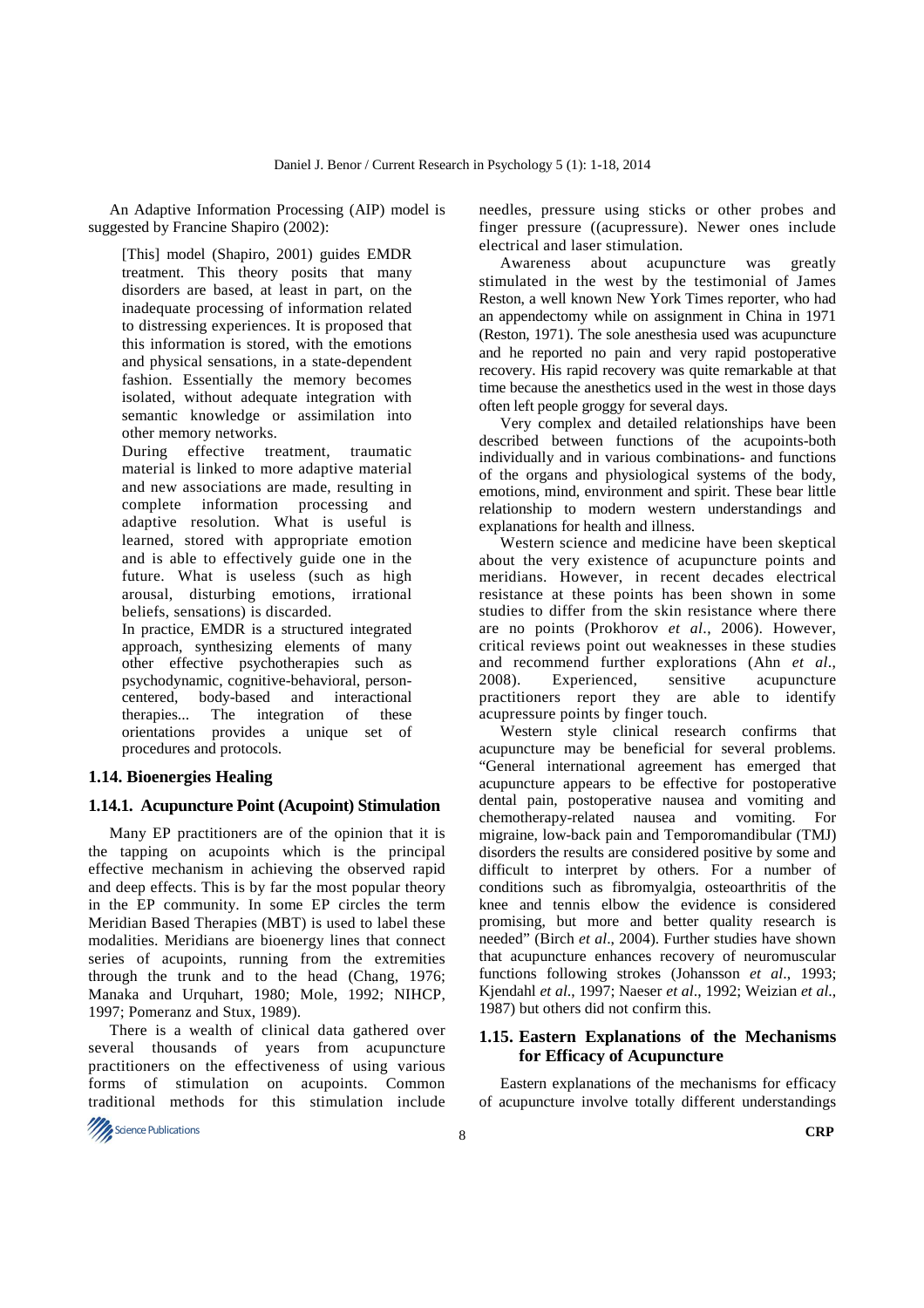An Adaptive Information Processing (AIP) model is suggested by Francine Shapiro (2002):

[This] model (Shapiro, 2001) guides EMDR treatment. This theory posits that many disorders are based, at least in part, on the inadequate processing of information related to distressing experiences. It is proposed that this information is stored, with the emotions and physical sensations, in a state-dependent fashion. Essentially the memory becomes isolated, without adequate integration with semantic knowledge or assimilation into other memory networks.

During effective treatment, traumatic material is linked to more adaptive material and new associations are made, resulting in complete information processing and adaptive resolution. What is useful is learned, stored with appropriate emotion and is able to effectively guide one in the future. What is useless (such as high arousal, disturbing emotions, irrational beliefs, sensations) is discarded.

In practice, EMDR is a structured integrated approach, synthesizing elements of many other effective psychotherapies such as psychodynamic, cognitive-behavioral, personcentered, body-based and interactional therapies... The integration of these orientations provides a unique set of procedures and protocols.

#### **1.14. Bioenergies Healing**

#### **1.14.1. Acupuncture Point (Acupoint) Stimulation**

Many EP practitioners are of the opinion that it is the tapping on acupoints which is the principal effective mechanism in achieving the observed rapid and deep effects. This is by far the most popular theory in the EP community. In some EP circles the term Meridian Based Therapies (MBT) is used to label these modalities. Meridians are bioenergy lines that connect series of acupoints, running from the extremities through the trunk and to the head (Chang, 1976; Manaka and Urquhart, 1980; Mole, 1992; NIHCP, 1997; Pomeranz and Stux, 1989).

There is a wealth of clinical data gathered over several thousands of years from acupuncture practitioners on the effectiveness of using various forms of stimulation on acupoints. Common traditional methods for this stimulation include

needles, pressure using sticks or other probes and finger pressure ((acupressure). Newer ones include electrical and laser stimulation.

Awareness about acupuncture was greatly stimulated in the west by the testimonial of James Reston, a well known New York Times reporter, who had an appendectomy while on assignment in China in 1971 (Reston, 1971). The sole anesthesia used was acupuncture and he reported no pain and very rapid postoperative recovery. His rapid recovery was quite remarkable at that time because the anesthetics used in the west in those days often left people groggy for several days.

Very complex and detailed relationships have been described between functions of the acupoints-both individually and in various combinations- and functions of the organs and physiological systems of the body, emotions, mind, environment and spirit. These bear little relationship to modern western understandings and explanations for health and illness.

Western science and medicine have been skeptical about the very existence of acupuncture points and meridians. However, in recent decades electrical resistance at these points has been shown in some studies to differ from the skin resistance where there are no points (Prokhorov *et al*., 2006). However, critical reviews point out weaknesses in these studies and recommend further explorations (Ahn *et al*., 2008). Experienced, sensitive acupuncture practitioners report they are able to identify acupressure points by finger touch.

Western style clinical research confirms that acupuncture may be beneficial for several problems. "General international agreement has emerged that acupuncture appears to be effective for postoperative dental pain, postoperative nausea and vomiting and chemotherapy-related nausea and vomiting. For migraine, low-back pain and Temporomandibular (TMJ) disorders the results are considered positive by some and difficult to interpret by others. For a number of conditions such as fibromyalgia, osteoarthritis of the knee and tennis elbow the evidence is considered promising, but more and better quality research is needed" (Birch *et al*., 2004). Further studies have shown that acupuncture enhances recovery of neuromuscular functions following strokes (Johansson *et al*., 1993; Kjendahl *et al*., 1997; Naeser *et al*., 1992; Weizian *et al*., 1987) but others did not confirm this.

#### **1.15. Eastern Explanations of the Mechanisms for Efficacy of Acupuncture**

Eastern explanations of the mechanisms for efficacy of acupuncture involve totally different understandings

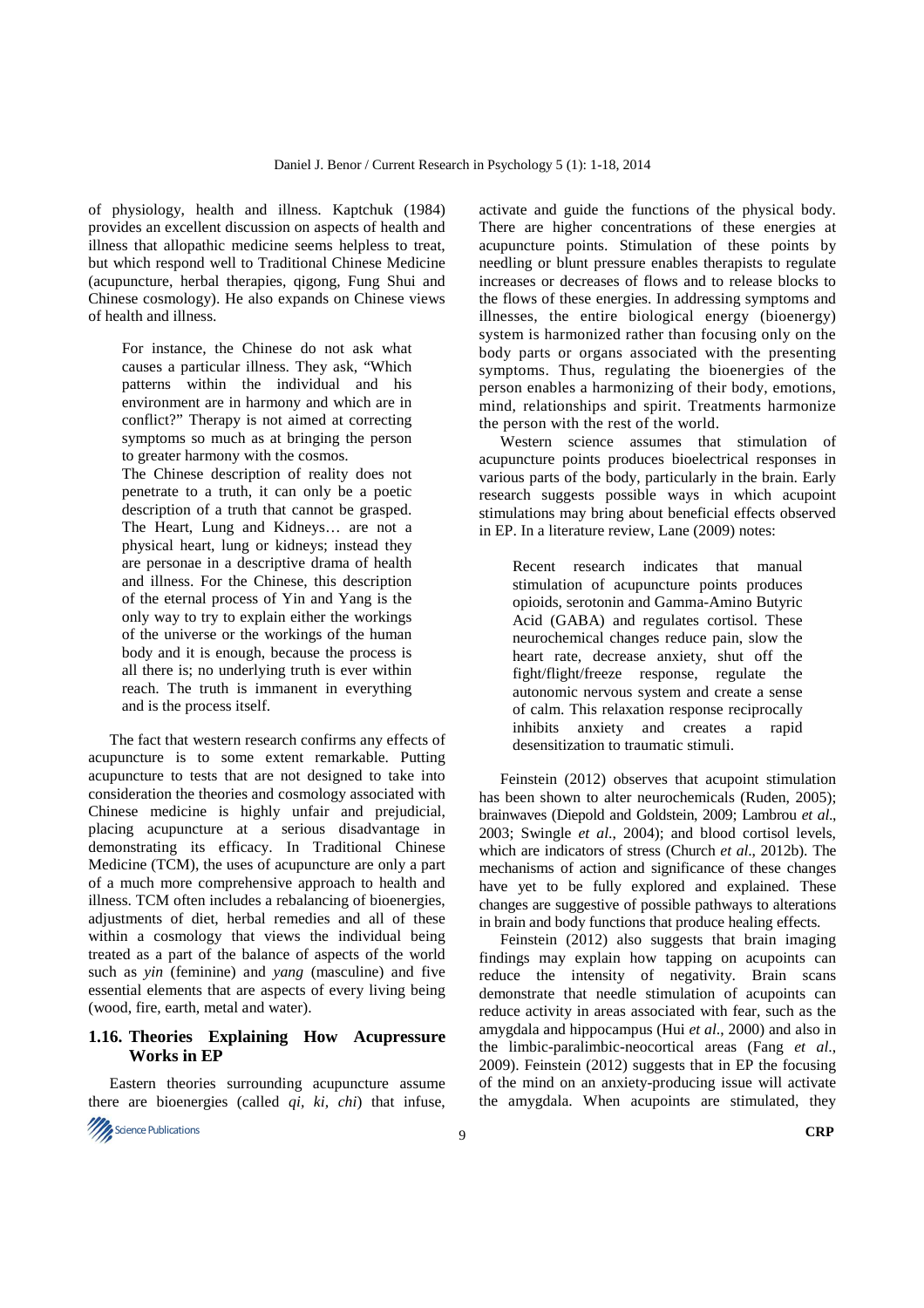of physiology, health and illness. Kaptchuk (1984) provides an excellent discussion on aspects of health and illness that allopathic medicine seems helpless to treat, but which respond well to Traditional Chinese Medicine (acupuncture, herbal therapies, qigong, Fung Shui and Chinese cosmology). He also expands on Chinese views of health and illness.

For instance, the Chinese do not ask what causes a particular illness. They ask, "Which patterns within the individual and his environment are in harmony and which are in conflict?" Therapy is not aimed at correcting symptoms so much as at bringing the person to greater harmony with the cosmos.

The Chinese description of reality does not penetrate to a truth, it can only be a poetic description of a truth that cannot be grasped. The Heart, Lung and Kidneys… are not a physical heart, lung or kidneys; instead they are personae in a descriptive drama of health and illness. For the Chinese, this description of the eternal process of Yin and Yang is the only way to try to explain either the workings of the universe or the workings of the human body and it is enough, because the process is all there is; no underlying truth is ever within reach. The truth is immanent in everything and is the process itself.

The fact that western research confirms any effects of acupuncture is to some extent remarkable. Putting acupuncture to tests that are not designed to take into consideration the theories and cosmology associated with Chinese medicine is highly unfair and prejudicial, placing acupuncture at a serious disadvantage in demonstrating its efficacy. In Traditional Chinese Medicine (TCM), the uses of acupuncture are only a part of a much more comprehensive approach to health and illness. TCM often includes a rebalancing of bioenergies, adjustments of diet, herbal remedies and all of these within a cosmology that views the individual being treated as a part of the balance of aspects of the world such as *yin* (feminine) and *yang* (masculine) and five essential elements that are aspects of every living being (wood, fire, earth, metal and water).

#### **1.16. Theories Explaining How Acupressure Works in EP**

Eastern theories surrounding acupuncture assume there are bioenergies (called *qi, ki, chi*) that infuse,



activate and guide the functions of the physical body. There are higher concentrations of these energies at acupuncture points. Stimulation of these points by needling or blunt pressure enables therapists to regulate increases or decreases of flows and to release blocks to the flows of these energies. In addressing symptoms and illnesses, the entire biological energy (bioenergy) system is harmonized rather than focusing only on the body parts or organs associated with the presenting symptoms. Thus, regulating the bioenergies of the person enables a harmonizing of their body, emotions, mind, relationships and spirit. Treatments harmonize the person with the rest of the world.

Western science assumes that stimulation of acupuncture points produces bioelectrical responses in various parts of the body, particularly in the brain. Early research suggests possible ways in which acupoint stimulations may bring about beneficial effects observed in EP. In a literature review, Lane (2009) notes:

Recent research indicates that manual stimulation of acupuncture points produces opioids, serotonin and Gamma-Amino Butyric Acid (GABA) and regulates cortisol. These neurochemical changes reduce pain, slow the heart rate, decrease anxiety, shut off the fight/flight/freeze response, regulate the autonomic nervous system and create a sense of calm. This relaxation response reciprocally inhibits anxiety and creates a rapid desensitization to traumatic stimuli.

Feinstein (2012) observes that acupoint stimulation has been shown to alter neurochemicals (Ruden, 2005); brainwaves (Diepold and Goldstein, 2009; Lambrou *et al*., 2003; Swingle *et al*., 2004); and blood cortisol levels, which are indicators of stress (Church *et al*., 2012b). The mechanisms of action and significance of these changes have yet to be fully explored and explained. These changes are suggestive of possible pathways to alterations in brain and body functions that produce healing effects.

Feinstein (2012) also suggests that brain imaging findings may explain how tapping on acupoints can reduce the intensity of negativity. Brain scans demonstrate that needle stimulation of acupoints can reduce activity in areas associated with fear, such as the amygdala and hippocampus (Hui *et al*., 2000) and also in the limbic-paralimbic-neocortical areas (Fang *et al*., 2009). Feinstein (2012) suggests that in EP the focusing of the mind on an anxiety-producing issue will activate the amygdala. When acupoints are stimulated, they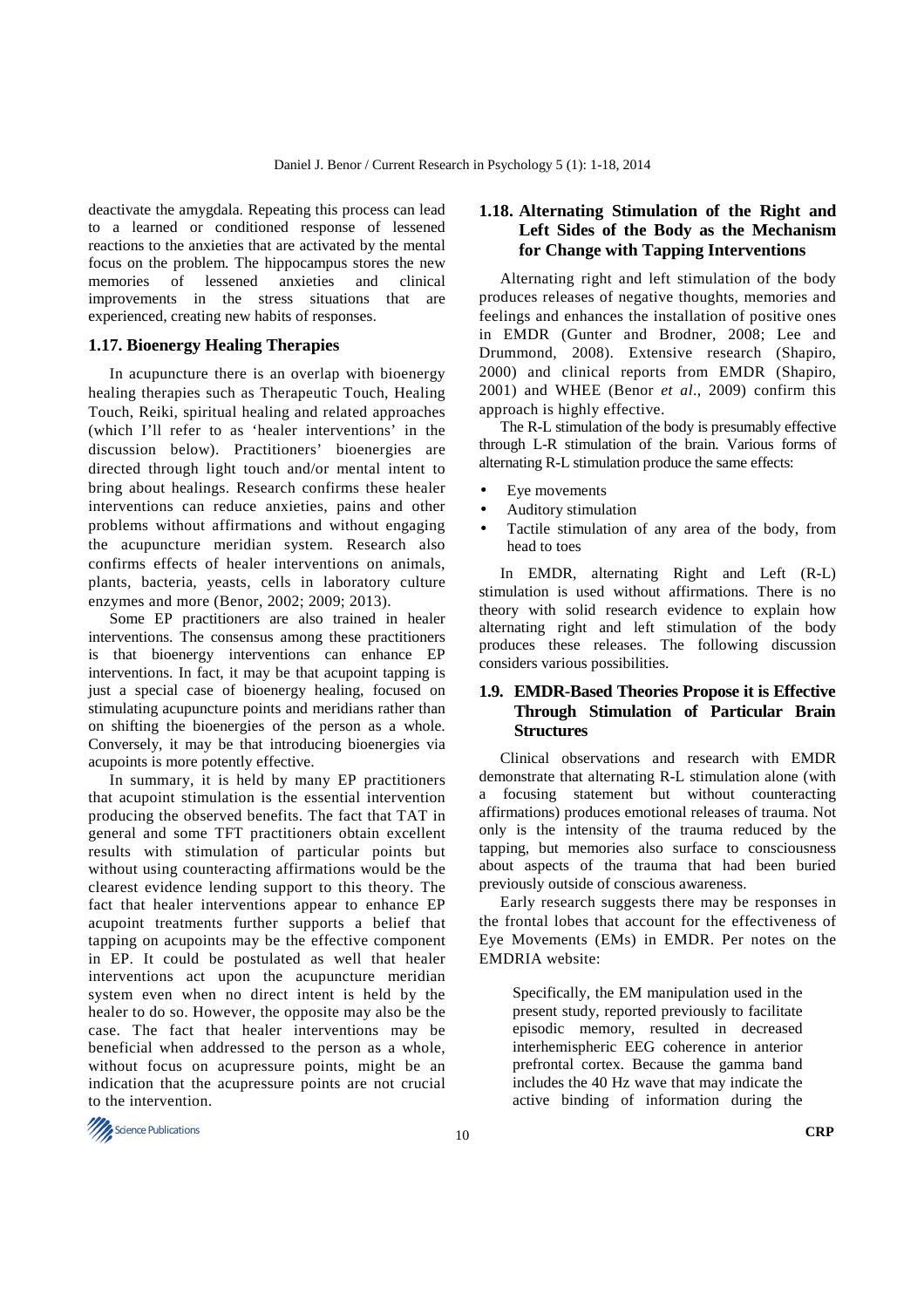deactivate the amygdala. Repeating this process can lead to a learned or conditioned response of lessened reactions to the anxieties that are activated by the mental focus on the problem. The hippocampus stores the new memories of lessened anxieties and improvements in the stress situations that are experienced, creating new habits of responses.

### **1.17. Bioenergy Healing Therapies**

In acupuncture there is an overlap with bioenergy healing therapies such as Therapeutic Touch, Healing Touch, Reiki, spiritual healing and related approaches (which I'll refer to as 'healer interventions' in the discussion below). Practitioners' bioenergies are directed through light touch and/or mental intent to bring about healings. Research confirms these healer interventions can reduce anxieties, pains and other problems without affirmations and without engaging the acupuncture meridian system. Research also confirms effects of healer interventions on animals, plants, bacteria, yeasts, cells in laboratory culture enzymes and more (Benor, 2002; 2009; 2013).

Some EP practitioners are also trained in healer interventions. The consensus among these practitioners is that bioenergy interventions can enhance EP interventions. In fact, it may be that acupoint tapping is just a special case of bioenergy healing, focused on stimulating acupuncture points and meridians rather than on shifting the bioenergies of the person as a whole. Conversely, it may be that introducing bioenergies via acupoints is more potently effective.

In summary, it is held by many EP practitioners that acupoint stimulation is the essential intervention producing the observed benefits. The fact that TAT in general and some TFT practitioners obtain excellent results with stimulation of particular points but without using counteracting affirmations would be the clearest evidence lending support to this theory. The fact that healer interventions appear to enhance EP acupoint treatments further supports a belief that tapping on acupoints may be the effective component in EP. It could be postulated as well that healer interventions act upon the acupuncture meridian system even when no direct intent is held by the healer to do so. However, the opposite may also be the case. The fact that healer interventions may be beneficial when addressed to the person as a whole, without focus on acupressure points, might be an indication that the acupressure points are not crucial to the intervention.

## **1.18. Alternating Stimulation of the Right and Left Sides of the Body as the Mechanism for Change with Tapping Interventions**

Alternating right and left stimulation of the body produces releases of negative thoughts, memories and feelings and enhances the installation of positive ones in EMDR (Gunter and Brodner, 2008; Lee and Drummond, 2008). Extensive research (Shapiro, 2000) and clinical reports from EMDR (Shapiro, 2001) and WHEE (Benor *et al*., 2009) confirm this approach is highly effective.

The R-L stimulation of the body is presumably effective through L-R stimulation of the brain. Various forms of alternating R-L stimulation produce the same effects:

- Eye movements
- Auditory stimulation
- Tactile stimulation of any area of the body, from head to toes

In EMDR, alternating Right and Left (R-L) stimulation is used without affirmations. There is no theory with solid research evidence to explain how alternating right and left stimulation of the body produces these releases. The following discussion considers various possibilities.

## **1.9. EMDR-Based Theories Propose it is Effective Through Stimulation of Particular Brain Structures**

Clinical observations and research with EMDR demonstrate that alternating R-L stimulation alone (with a focusing statement but without counteracting affirmations) produces emotional releases of trauma. Not only is the intensity of the trauma reduced by the tapping, but memories also surface to consciousness about aspects of the trauma that had been buried previously outside of conscious awareness.

Early research suggests there may be responses in the frontal lobes that account for the effectiveness of Eye Movements (EMs) in EMDR. Per notes on the EMDRIA website:

Specifically, the EM manipulation used in the present study, reported previously to facilitate episodic memory, resulted in decreased interhemispheric EEG coherence in anterior prefrontal cortex. Because the gamma band includes the 40 Hz wave that may indicate the active binding of information during the

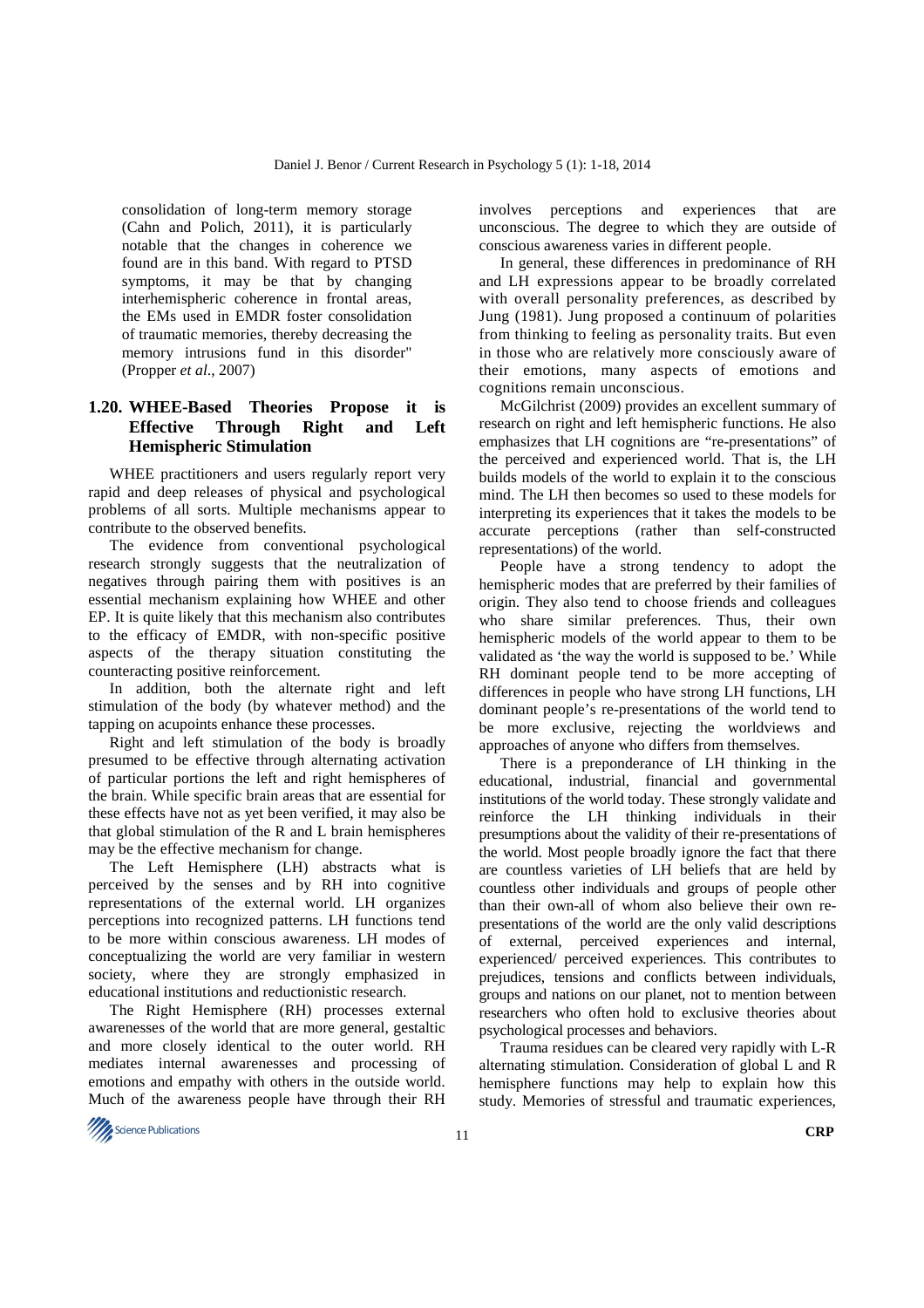consolidation of long-term memory storage (Cahn and Polich, 2011), it is particularly notable that the changes in coherence we found are in this band. With regard to PTSD symptoms, it may be that by changing interhemispheric coherence in frontal areas, the EMs used in EMDR foster consolidation of traumatic memories, thereby decreasing the memory intrusions fund in this disorder" (Propper *et al*., 2007)

## **1.20. WHEE-Based Theories Propose it is Effective Through Right and Left Hemispheric Stimulation**

WHEE practitioners and users regularly report very rapid and deep releases of physical and psychological problems of all sorts. Multiple mechanisms appear to contribute to the observed benefits.

The evidence from conventional psychological research strongly suggests that the neutralization of negatives through pairing them with positives is an essential mechanism explaining how WHEE and other EP. It is quite likely that this mechanism also contributes to the efficacy of EMDR, with non-specific positive aspects of the therapy situation constituting the counteracting positive reinforcement.

In addition, both the alternate right and left stimulation of the body (by whatever method) and the tapping on acupoints enhance these processes.

Right and left stimulation of the body is broadly presumed to be effective through alternating activation of particular portions the left and right hemispheres of the brain. While specific brain areas that are essential for these effects have not as yet been verified, it may also be that global stimulation of the R and L brain hemispheres may be the effective mechanism for change.

The Left Hemisphere (LH) abstracts what is perceived by the senses and by RH into cognitive representations of the external world. LH organizes perceptions into recognized patterns. LH functions tend to be more within conscious awareness. LH modes of conceptualizing the world are very familiar in western society, where they are strongly emphasized in educational institutions and reductionistic research.

The Right Hemisphere (RH) processes external awarenesses of the world that are more general, gestaltic and more closely identical to the outer world. RH mediates internal awarenesses and processing of emotions and empathy with others in the outside world. Much of the awareness people have through their RH

involves perceptions and experiences that are unconscious. The degree to which they are outside of conscious awareness varies in different people.

In general, these differences in predominance of RH and LH expressions appear to be broadly correlated with overall personality preferences, as described by Jung (1981). Jung proposed a continuum of polarities from thinking to feeling as personality traits. But even in those who are relatively more consciously aware of their emotions, many aspects of emotions and cognitions remain unconscious.

McGilchrist (2009) provides an excellent summary of research on right and left hemispheric functions. He also emphasizes that LH cognitions are "re-presentations" of the perceived and experienced world. That is, the LH builds models of the world to explain it to the conscious mind. The LH then becomes so used to these models for interpreting its experiences that it takes the models to be accurate perceptions (rather than self-constructed representations) of the world.

People have a strong tendency to adopt the hemispheric modes that are preferred by their families of origin. They also tend to choose friends and colleagues who share similar preferences. Thus, their own hemispheric models of the world appear to them to be validated as 'the way the world is supposed to be.' While RH dominant people tend to be more accepting of differences in people who have strong LH functions, LH dominant people's re-presentations of the world tend to be more exclusive, rejecting the worldviews and approaches of anyone who differs from themselves.

There is a preponderance of LH thinking in the educational, industrial, financial and governmental institutions of the world today. These strongly validate and reinforce the LH thinking individuals in their presumptions about the validity of their re-presentations of the world. Most people broadly ignore the fact that there are countless varieties of LH beliefs that are held by countless other individuals and groups of people other than their own-all of whom also believe their own representations of the world are the only valid descriptions of external, perceived experiences and internal, experienced/ perceived experiences. This contributes to prejudices, tensions and conflicts between individuals, groups and nations on our planet, not to mention between researchers who often hold to exclusive theories about psychological processes and behaviors.

Trauma residues can be cleared very rapidly with L-R alternating stimulation. Consideration of global L and R hemisphere functions may help to explain how this study. Memories of stressful and traumatic experiences,

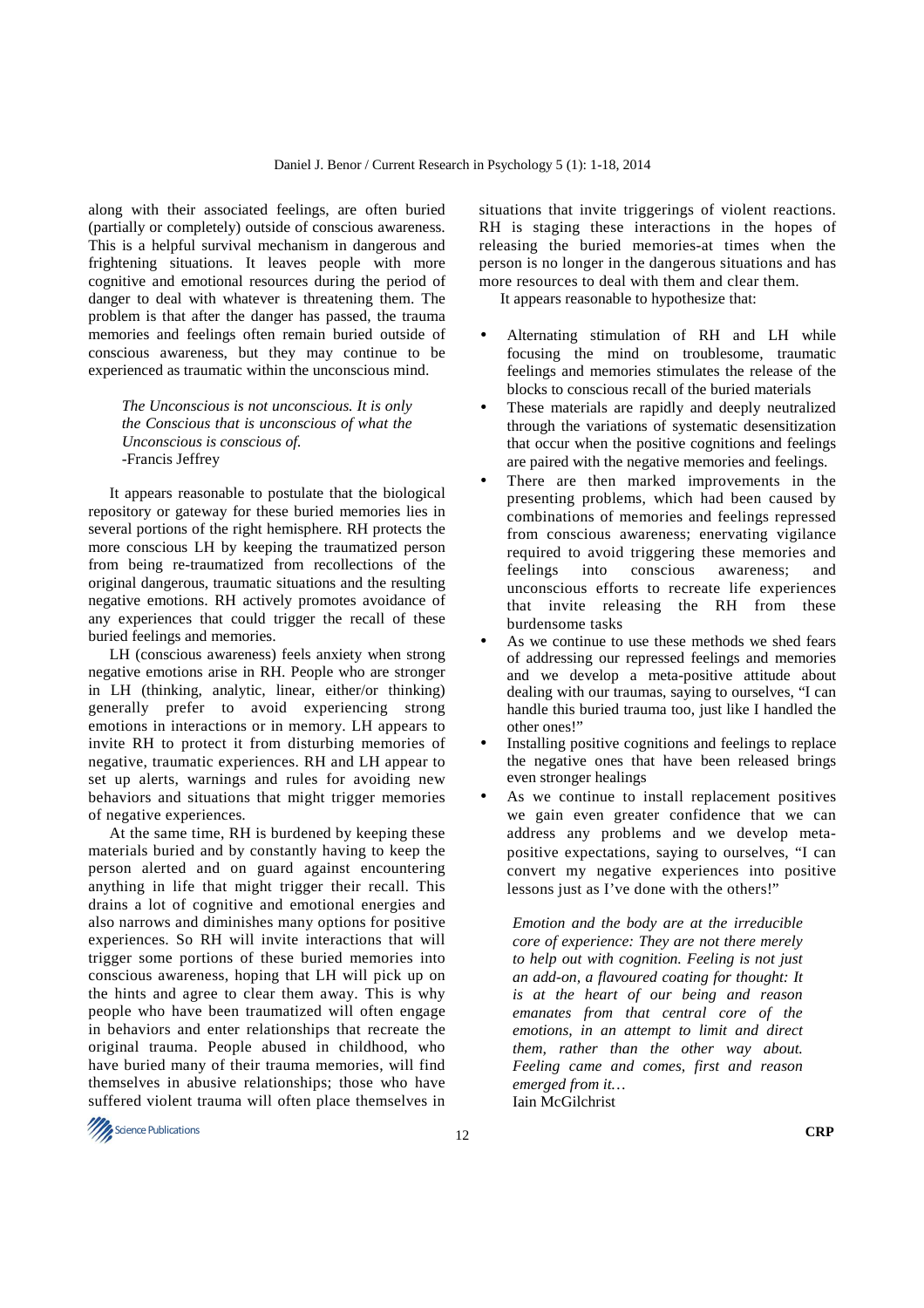along with their associated feelings, are often buried (partially or completely) outside of conscious awareness. This is a helpful survival mechanism in dangerous and frightening situations. It leaves people with more cognitive and emotional resources during the period of danger to deal with whatever is threatening them. The problem is that after the danger has passed, the trauma memories and feelings often remain buried outside of conscious awareness, but they may continue to be experienced as traumatic within the unconscious mind.

*The Unconscious is not unconscious. It is only the Conscious that is unconscious of what the Unconscious is conscious of.*  -Francis Jeffrey

It appears reasonable to postulate that the biological repository or gateway for these buried memories lies in several portions of the right hemisphere. RH protects the more conscious LH by keeping the traumatized person from being re-traumatized from recollections of the original dangerous, traumatic situations and the resulting negative emotions. RH actively promotes avoidance of any experiences that could trigger the recall of these buried feelings and memories.

LH (conscious awareness) feels anxiety when strong negative emotions arise in RH. People who are stronger in LH (thinking, analytic, linear, either/or thinking) generally prefer to avoid experiencing strong emotions in interactions or in memory. LH appears to invite RH to protect it from disturbing memories of negative, traumatic experiences. RH and LH appear to set up alerts, warnings and rules for avoiding new behaviors and situations that might trigger memories of negative experiences.

At the same time, RH is burdened by keeping these materials buried and by constantly having to keep the person alerted and on guard against encountering anything in life that might trigger their recall. This drains a lot of cognitive and emotional energies and also narrows and diminishes many options for positive experiences. So RH will invite interactions that will trigger some portions of these buried memories into conscious awareness, hoping that LH will pick up on the hints and agree to clear them away. This is why people who have been traumatized will often engage in behaviors and enter relationships that recreate the original trauma. People abused in childhood, who have buried many of their trauma memories, will find themselves in abusive relationships; those who have suffered violent trauma will often place themselves in

situations that invite triggerings of violent reactions. RH is staging these interactions in the hopes of releasing the buried memories-at times when the person is no longer in the dangerous situations and has more resources to deal with them and clear them.

It appears reasonable to hypothesize that:

- Alternating stimulation of RH and LH while focusing the mind on troublesome, traumatic feelings and memories stimulates the release of the blocks to conscious recall of the buried materials
- These materials are rapidly and deeply neutralized through the variations of systematic desensitization that occur when the positive cognitions and feelings are paired with the negative memories and feelings.
- There are then marked improvements in the presenting problems, which had been caused by combinations of memories and feelings repressed from conscious awareness; enervating vigilance required to avoid triggering these memories and feelings into conscious awareness; and unconscious efforts to recreate life experiences that invite releasing the RH from these burdensome tasks
- As we continue to use these methods we shed fears of addressing our repressed feelings and memories and we develop a meta-positive attitude about dealing with our traumas, saying to ourselves, "I can handle this buried trauma too, just like I handled the other ones!"
- Installing positive cognitions and feelings to replace the negative ones that have been released brings even stronger healings
- As we continue to install replacement positives we gain even greater confidence that we can address any problems and we develop metapositive expectations, saying to ourselves, "I can convert my negative experiences into positive lessons just as I've done with the others!"

*Emotion and the body are at the irreducible core of experience: They are not there merely to help out with cognition. Feeling is not just an add-on, a flavoured coating for thought: It is at the heart of our being and reason emanates from that central core of the emotions, in an attempt to limit and direct them, rather than the other way about. Feeling came and comes, first and reason emerged from it…*  Iain McGilchrist

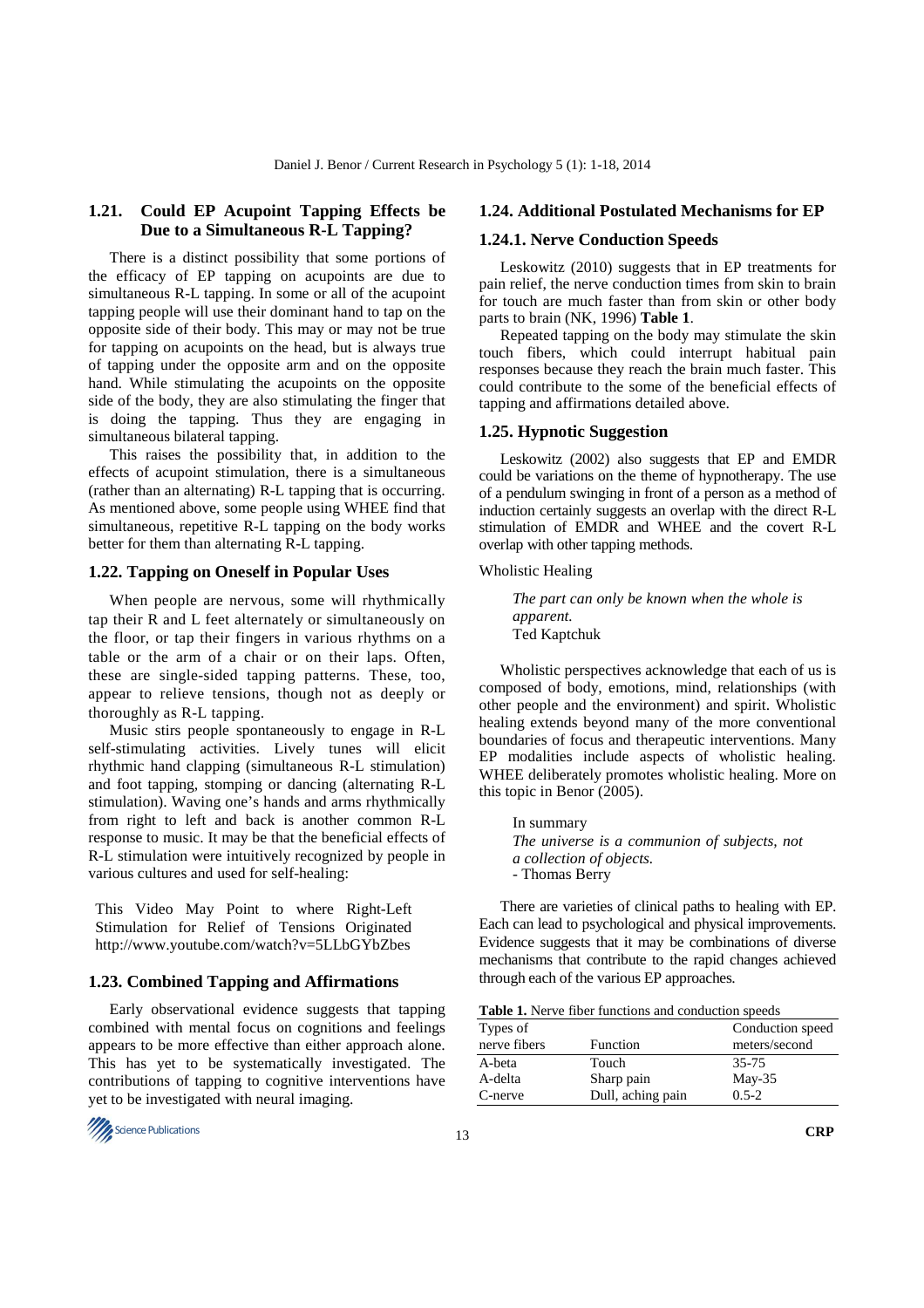## **1.21. Could EP Acupoint Tapping Effects be Due to a Simultaneous R-L Tapping?**

There is a distinct possibility that some portions of the efficacy of EP tapping on acupoints are due to simultaneous R-L tapping. In some or all of the acupoint tapping people will use their dominant hand to tap on the opposite side of their body. This may or may not be true for tapping on acupoints on the head, but is always true of tapping under the opposite arm and on the opposite hand. While stimulating the acupoints on the opposite side of the body, they are also stimulating the finger that is doing the tapping. Thus they are engaging in simultaneous bilateral tapping.

This raises the possibility that, in addition to the effects of acupoint stimulation, there is a simultaneous (rather than an alternating) R-L tapping that is occurring. As mentioned above, some people using WHEE find that simultaneous, repetitive R-L tapping on the body works better for them than alternating R-L tapping.

## **1.22. Tapping on Oneself in Popular Uses**

When people are nervous, some will rhythmically tap their R and L feet alternately or simultaneously on the floor, or tap their fingers in various rhythms on a table or the arm of a chair or on their laps. Often, these are single-sided tapping patterns. These, too, appear to relieve tensions, though not as deeply or thoroughly as R-L tapping.

Music stirs people spontaneously to engage in R-L self-stimulating activities. Lively tunes will elicit rhythmic hand clapping (simultaneous R-L stimulation) and foot tapping, stomping or dancing (alternating R-L stimulation). Waving one's hands and arms rhythmically from right to left and back is another common R-L response to music. It may be that the beneficial effects of R-L stimulation were intuitively recognized by people in various cultures and used for self-healing:

This Video May Point to where Right-Left Stimulation for Relief of Tensions Originated http://www.youtube.com/watch?v=5LLbGYbZbes

#### **1.23. Combined Tapping and Affirmations**

Early observational evidence suggests that tapping combined with mental focus on cognitions and feelings appears to be more effective than either approach alone. This has yet to be systematically investigated. The contributions of tapping to cognitive interventions have yet to be investigated with neural imaging.



#### **1.24. Additional Postulated Mechanisms for EP**

#### **1.24.1. Nerve Conduction Speeds**

Leskowitz (2010) suggests that in EP treatments for pain relief, the nerve conduction times from skin to brain for touch are much faster than from skin or other body parts to brain (NK, 1996) **Table 1**.

Repeated tapping on the body may stimulate the skin touch fibers, which could interrupt habitual pain responses because they reach the brain much faster. This could contribute to the some of the beneficial effects of tapping and affirmations detailed above.

#### **1.25. Hypnotic Suggestion**

Leskowitz (2002) also suggests that EP and EMDR could be variations on the theme of hypnotherapy. The use of a pendulum swinging in front of a person as a method of induction certainly suggests an overlap with the direct R-L stimulation of EMDR and WHEE and the covert R-L overlap with other tapping methods.

#### Wholistic Healing

*The part can only be known when the whole is apparent.*  Ted Kaptchuk

Wholistic perspectives acknowledge that each of us is composed of body, emotions, mind, relationships (with other people and the environment) and spirit. Wholistic healing extends beyond many of the more conventional boundaries of focus and therapeutic interventions. Many EP modalities include aspects of wholistic healing. WHEE deliberately promotes wholistic healing. More on this topic in Benor (2005).

In summary *The universe is a communion of subjects, not a collection of objects.*  - Thomas Berry

There are varieties of clinical paths to healing with EP. Each can lead to psychological and physical improvements. Evidence suggests that it may be combinations of diverse mechanisms that contribute to the rapid changes achieved through each of the various EP approaches.

**Table 1.** Nerve fiber functions and conduction speeds

| Types of     |                   | Conduction speed |
|--------------|-------------------|------------------|
| nerve fibers | Function          | meters/second    |
| A-beta       | Touch             | 35-75            |
| A-delta      | Sharp pain        | May- $35$        |
| C-nerve      | Dull, aching pain | $0.5 - 2$        |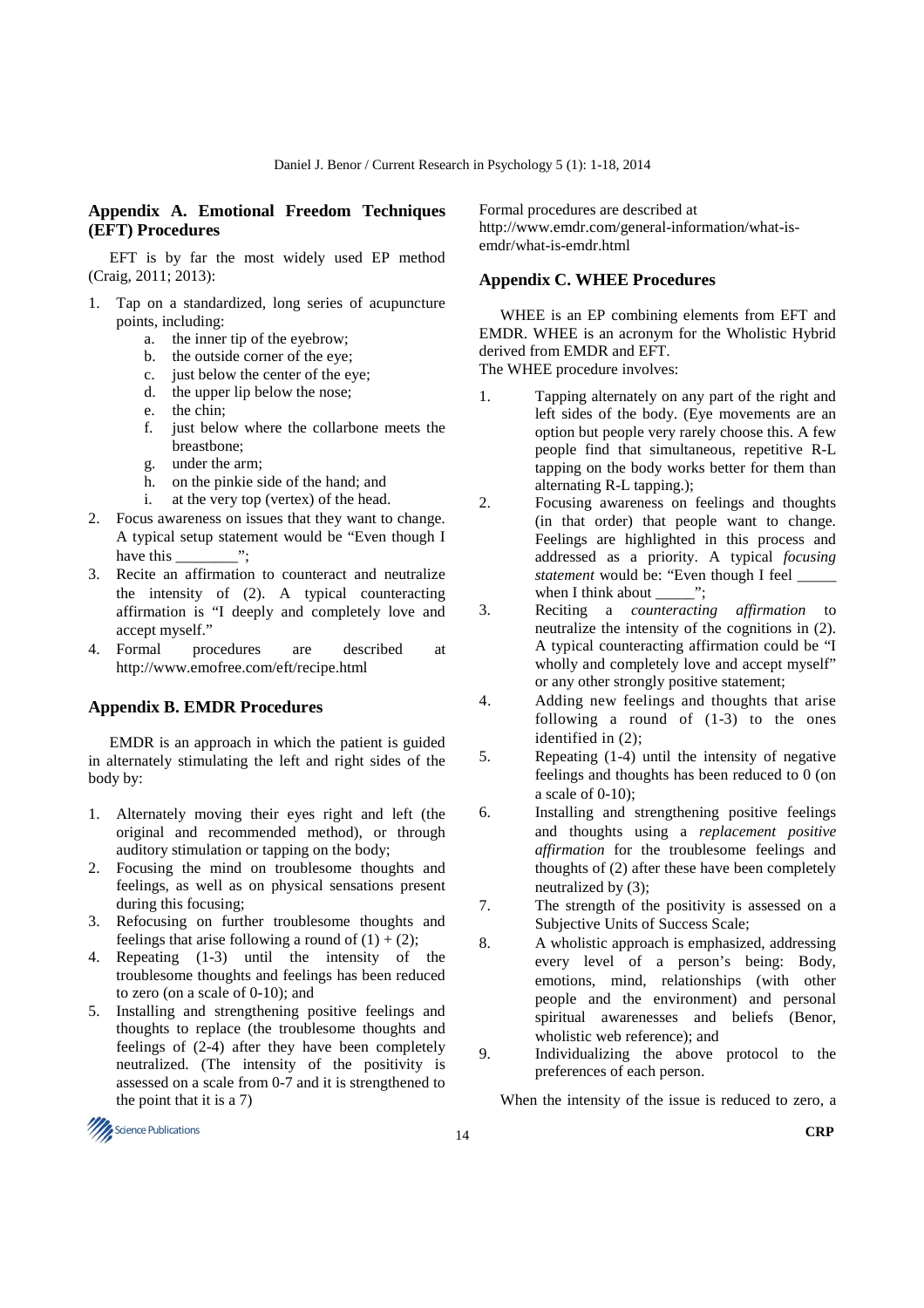## **Appendix A. Emotional Freedom Techniques (EFT) Procedures**

EFT is by far the most widely used EP method (Craig, 2011; 2013):

- 1. Tap on a standardized, long series of acupuncture points, including:
	- a. the inner tip of the eyebrow;
	- b. the outside corner of the eye;
	- c. just below the center of the eye;<br>d. the upper lip below the nose;
	- the upper lip below the nose;
	- e. the chin;
	- f. just below where the collarbone meets the breastbone;
	- g. under the arm;
	- h. on the pinkie side of the hand; and
	- i. at the very top (vertex) of the head.
- 2. Focus awareness on issues that they want to change. A typical setup statement would be "Even though I have this  $\frac{\ }{\ }$ ;
- 3. Recite an affirmation to counteract and neutralize the intensity of (2). A typical counteracting affirmation is "I deeply and completely love and accept myself."
- 4. Formal procedures are described at http://www.emofree.com/eft/recipe.html

#### **Appendix B. EMDR Procedures**

EMDR is an approach in which the patient is guided in alternately stimulating the left and right sides of the body by:

- 1. Alternately moving their eyes right and left (the original and recommended method), or through auditory stimulation or tapping on the body;
- 2. Focusing the mind on troublesome thoughts and feelings, as well as on physical sensations present during this focusing;
- 3. Refocusing on further troublesome thoughts and feelings that arise following a round of  $(1) + (2)$ ;
- 4. Repeating (1-3) until the intensity of the troublesome thoughts and feelings has been reduced to zero (on a scale of 0-10); and
- 5. Installing and strengthening positive feelings and thoughts to replace (the troublesome thoughts and feelings of (2-4) after they have been completely neutralized. (The intensity of the positivity is assessed on a scale from 0-7 and it is strengthened to the point that it is a 7)

Formal procedures are described at http://www.emdr.com/general-information/what-isemdr/what-is-emdr.html

## **Appendix C. WHEE Procedures**

WHEE is an EP combining elements from EFT and EMDR. WHEE is an acronym for the Wholistic Hybrid derived from EMDR and EFT. The WHEE procedure involves:

- 1. Tapping alternately on any part of the right and left sides of the body. (Eye movements are an option but people very rarely choose this. A few people find that simultaneous, repetitive R-L tapping on the body works better for them than alternating R-L tapping.);
- 2. Focusing awareness on feelings and thoughts (in that order) that people want to change. Feelings are highlighted in this process and addressed as a priority. A typical *focusing statement* would be: "Even though I feel when I think about
- 3. Reciting a *counteracting affirmation* to neutralize the intensity of the cognitions in (2). A typical counteracting affirmation could be "I wholly and completely love and accept myself" or any other strongly positive statement;
- 4. Adding new feelings and thoughts that arise following a round of (1-3) to the ones identified in (2);
- 5. Repeating (1-4) until the intensity of negative feelings and thoughts has been reduced to 0 (on a scale of  $0-10$ :
- 6. Installing and strengthening positive feelings and thoughts using a *replacement positive affirmation* for the troublesome feelings and thoughts of (2) after these have been completely neutralized by (3);
- 7. The strength of the positivity is assessed on a Subjective Units of Success Scale;
- 8. A wholistic approach is emphasized, addressing every level of a person's being: Body, emotions, mind, relationships (with other people and the environment) and personal spiritual awarenesses and beliefs (Benor, wholistic web reference); and
- 9. Individualizing the above protocol to the preferences of each person.

When the intensity of the issue is reduced to zero, a

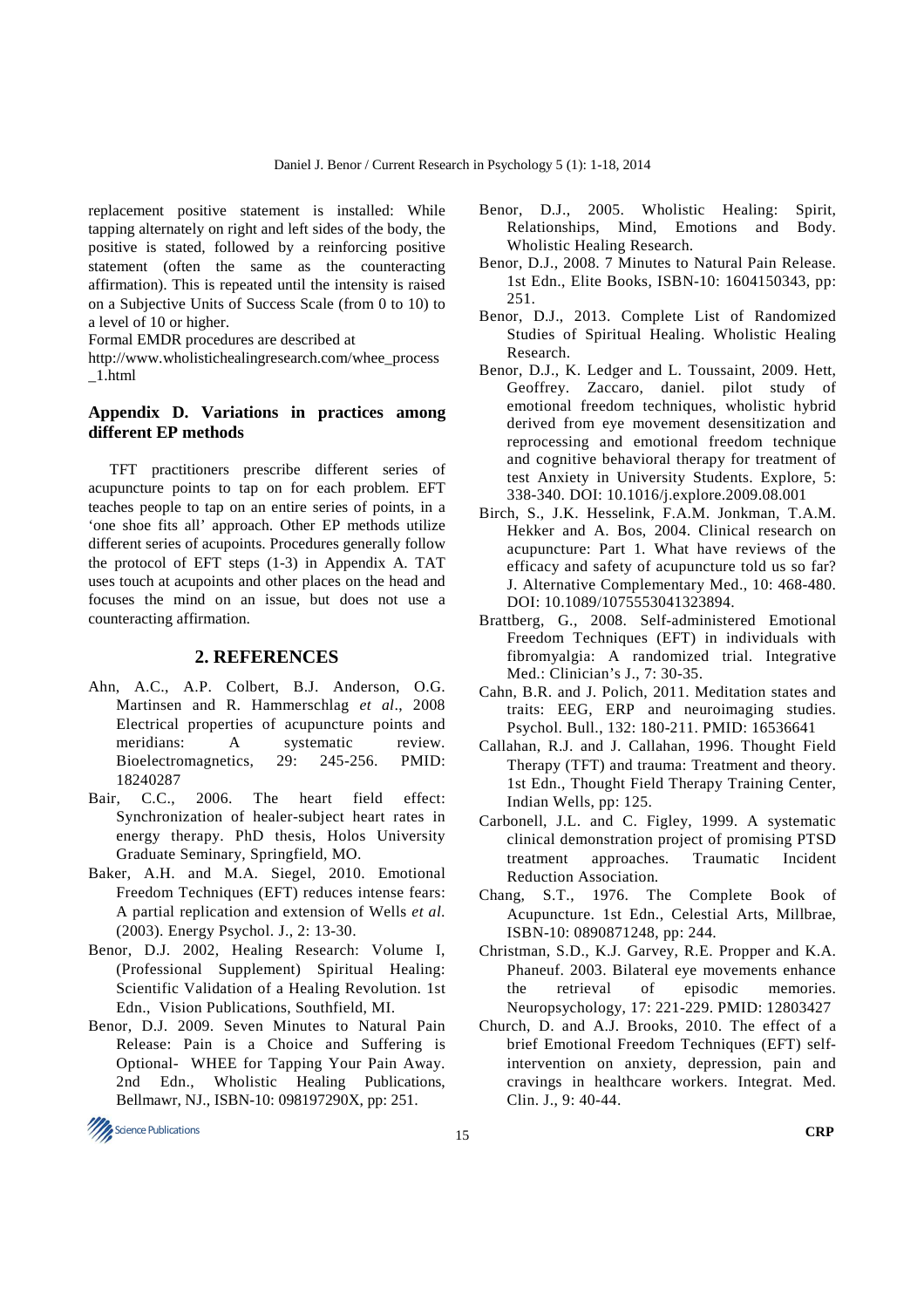replacement positive statement is installed: While tapping alternately on right and left sides of the body, the positive is stated, followed by a reinforcing positive statement (often the same as the counteracting affirmation). This is repeated until the intensity is raised on a Subjective Units of Success Scale (from 0 to 10) to a level of 10 or higher.

Formal EMDR procedures are described at

http://www.wholistichealingresearch.com/whee\_process  $\_1.html$ 

### **Appendix D. Variations in practices among different EP methods**

TFT practitioners prescribe different series of acupuncture points to tap on for each problem. EFT teaches people to tap on an entire series of points, in a 'one shoe fits all' approach. Other EP methods utilize different series of acupoints. Procedures generally follow the protocol of EFT steps (1-3) in Appendix A. TAT uses touch at acupoints and other places on the head and focuses the mind on an issue, but does not use a counteracting affirmation.

## **2. REFERENCES**

- Ahn, A.C., A.P. Colbert, B.J. Anderson, O.G. Martinsen and R. Hammerschlag *et al*., 2008 Electrical properties of acupuncture points and meridians: A systematic review. Bioelectromagnetics, 29: 245-256. PMID: 18240287
- Bair, C.C., 2006. The heart field effect: Synchronization of healer-subject heart rates in energy therapy. PhD thesis, Holos University Graduate Seminary, Springfield, MO.
- Baker, A.H. and M.A. Siegel, 2010. Emotional Freedom Techniques (EFT) reduces intense fears: A partial replication and extension of Wells *et al*. (2003). Energy Psychol. J., 2: 13-30.
- Benor, D.J. 2002, Healing Research: Volume I, (Professional Supplement) Spiritual Healing: Scientific Validation of a Healing Revolution. 1st Edn., Vision Publications, Southfield, MI.
- Benor, D.J. 2009. Seven Minutes to Natural Pain Release: Pain is a Choice and Suffering is Optional- WHEE for Tapping Your Pain Away. 2nd Edn., Wholistic Healing Publications, Bellmawr, NJ., ISBN-10: 098197290X, pp: 251.
- Benor, D.J., 2005. Wholistic Healing: Spirit, Relationships, Mind, Emotions and Body. Wholistic Healing Research.
- Benor, D.J., 2008. 7 Minutes to Natural Pain Release. 1st Edn., Elite Books, ISBN-10: 1604150343, pp: 251.
- Benor, D.J., 2013. Complete List of Randomized Studies of Spiritual Healing. Wholistic Healing Research.
- Benor, D.J., K. Ledger and L. Toussaint, 2009. Hett, Geoffrey. Zaccaro, daniel. pilot study of emotional freedom techniques, wholistic hybrid derived from eye movement desensitization and reprocessing and emotional freedom technique and cognitive behavioral therapy for treatment of test Anxiety in University Students. Explore, 5: 338-340. DOI: 10.1016/j.explore.2009.08.001
- Birch, S., J.K. Hesselink, F.A.M. Jonkman, T.A.M. Hekker and A. Bos, 2004. Clinical research on acupuncture: Part 1. What have reviews of the efficacy and safety of acupuncture told us so far? J. Alternative Complementary Med., 10: 468-480. DOI: 10.1089/1075553041323894.
- Brattberg, G., 2008. Self-administered Emotional Freedom Techniques (EFT) in individuals with fibromyalgia: A randomized trial. Integrative Med.: Clinician's J., 7: 30-35.
- Cahn, B.R. and J. Polich, 2011. Meditation states and traits: EEG, ERP and neuroimaging studies. Psychol. Bull., 132: 180-211. PMID: 16536641
- Callahan, R.J. and J. Callahan, 1996. Thought Field Therapy (TFT) and trauma: Treatment and theory. 1st Edn., Thought Field Therapy Training Center, Indian Wells, pp: 125.
- Carbonell, J.L. and C. Figley, 1999. A systematic clinical demonstration project of promising PTSD treatment approaches. Traumatic Incident Reduction Association.
- Chang, S.T., 1976. The Complete Book of Acupuncture. 1st Edn., Celestial Arts, Millbrae, ISBN-10: 0890871248, pp: 244.
- Christman, S.D., K.J. Garvey, R.E. Propper and K.A. Phaneuf. 2003. Bilateral eye movements enhance the retrieval of episodic memories. Neuropsychology, 17: 221-229. PMID: 12803427
- Church, D. and A.J. Brooks, 2010. The effect of a brief Emotional Freedom Techniques (EFT) selfintervention on anxiety, depression, pain and cravings in healthcare workers. Integrat. Med. Clin. J., 9: 40-44.

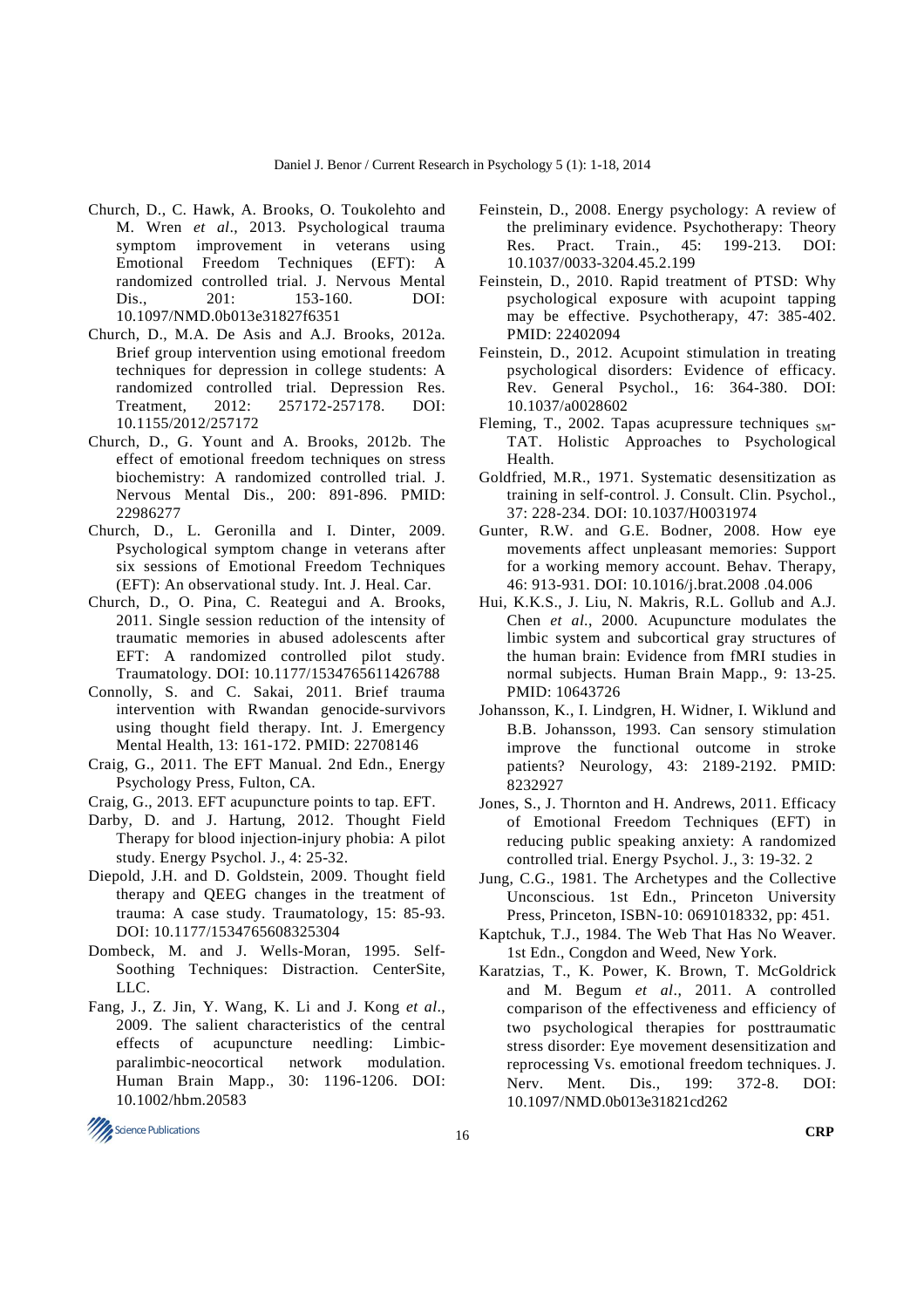- Church, D., C. Hawk, A. Brooks, O. Toukolehto and M. Wren *et al*., 2013. Psychological trauma symptom improvement in veterans using Emotional Freedom Techniques (EFT): A randomized controlled trial. J. Nervous Mental Dis., 201: 153-160. DOI: 10.1097/NMD.0b013e31827f6351
- Church, D., M.A. De Asis and A.J. Brooks, 2012a. Brief group intervention using emotional freedom techniques for depression in college students: A randomized controlled trial. Depression Res. Treatment, 2012: 257172-257178. DOI: 10.1155/2012/257172
- Church, D., G. Yount and A. Brooks, 2012b. The effect of emotional freedom techniques on stress biochemistry: A randomized controlled trial. J. Nervous Mental Dis., 200: 891-896. PMID: 22986277
- Church, D., L. Geronilla and I. Dinter, 2009. Psychological symptom change in veterans after six sessions of Emotional Freedom Techniques (EFT): An observational study. Int. J. Heal. Car.
- Church, D., O. Pina, C. Reategui and A. Brooks, 2011. Single session reduction of the intensity of traumatic memories in abused adolescents after EFT: A randomized controlled pilot study. Traumatology. DOI: 10.1177/1534765611426788
- Connolly, S. and C. Sakai, 2011. Brief trauma intervention with Rwandan genocide-survivors using thought field therapy. Int. J. Emergency Mental Health, 13: 161-172. PMID: 22708146
- Craig, G., 2011. The EFT Manual. 2nd Edn., Energy Psychology Press, Fulton, CA.
- Craig, G., 2013. EFT acupuncture points to tap. EFT.
- Darby, D. and J. Hartung, 2012. Thought Field Therapy for blood injection-injury phobia: A pilot study. Energy Psychol. J., 4: 25-32.
- Diepold, J.H. and D. Goldstein, 2009. Thought field therapy and QEEG changes in the treatment of trauma: A case study. Traumatology, 15: 85-93. DOI: 10.1177/1534765608325304
- Dombeck, M. and J. Wells-Moran, 1995. Self-Soothing Techniques: Distraction. CenterSite, LLC.
- Fang, J., Z. Jin, Y. Wang, K. Li and J. Kong *et al*., 2009. The salient characteristics of the central effects of acupuncture needling: Limbicparalimbic-neocortical network modulation. Human Brain Mapp., 30: 1196-1206. DOI: 10.1002/hbm.20583
- Feinstein, D., 2008. Energy psychology: A review of the preliminary evidence. Psychotherapy: Theory Res. Pract. Train., 45: 199-213. DOI: 10.1037/0033-3204.45.2.199
- Feinstein, D., 2010. Rapid treatment of PTSD: Why psychological exposure with acupoint tapping may be effective. Psychotherapy, 47: 385-402. PMID: 22402094
- Feinstein, D., 2012. Acupoint stimulation in treating psychological disorders: Evidence of efficacy. Rev. General Psychol., 16: 364-380. DOI: 10.1037/a0028602
- Fleming, T., 2002. Tapas acupressure techniques  $\mu$ -TAT. Holistic Approaches to Psychological Health.
- Goldfried, M.R., 1971. Systematic desensitization as training in self-control. J. Consult. Clin. Psychol., 37: 228-234. DOI: 10.1037/H0031974
- Gunter, R.W. and G.E. Bodner, 2008. How eye movements affect unpleasant memories: Support for a working memory account. Behav. Therapy, 46: 913-931. DOI: 10.1016/j.brat.2008 .04.006
- Hui, K.K.S., J. Liu, N. Makris, R.L. Gollub and A.J. Chen *et al*., 2000. Acupuncture modulates the limbic system and subcortical gray structures of the human brain: Evidence from fMRI studies in normal subjects. Human Brain Mapp., 9: 13-25. PMID: 10643726
- Johansson, K., I. Lindgren, H. Widner, I. Wiklund and B.B. Johansson, 1993. Can sensory stimulation improve the functional outcome in stroke patients? Neurology, 43: 2189-2192. PMID: 8232927
- Jones, S., J. Thornton and H. Andrews, 2011. Efficacy of Emotional Freedom Techniques (EFT) in reducing public speaking anxiety: A randomized controlled trial. Energy Psychol. J., 3: 19-32. 2
- Jung, C.G., 1981. The Archetypes and the Collective Unconscious. 1st Edn., Princeton University Press, Princeton, ISBN-10: 0691018332, pp: 451.
- Kaptchuk, T.J., 1984. The Web That Has No Weaver. 1st Edn., Congdon and Weed, New York.
- Karatzias, T., K. Power, K. Brown, T. McGoldrick and M. Begum *et al*., 2011. A controlled comparison of the effectiveness and efficiency of two psychological therapies for posttraumatic stress disorder: Eye movement desensitization and reprocessing Vs. emotional freedom techniques. J. Nerv. Ment. Dis., 199: 372-8. DOI: 10.1097/NMD.0b013e31821cd262

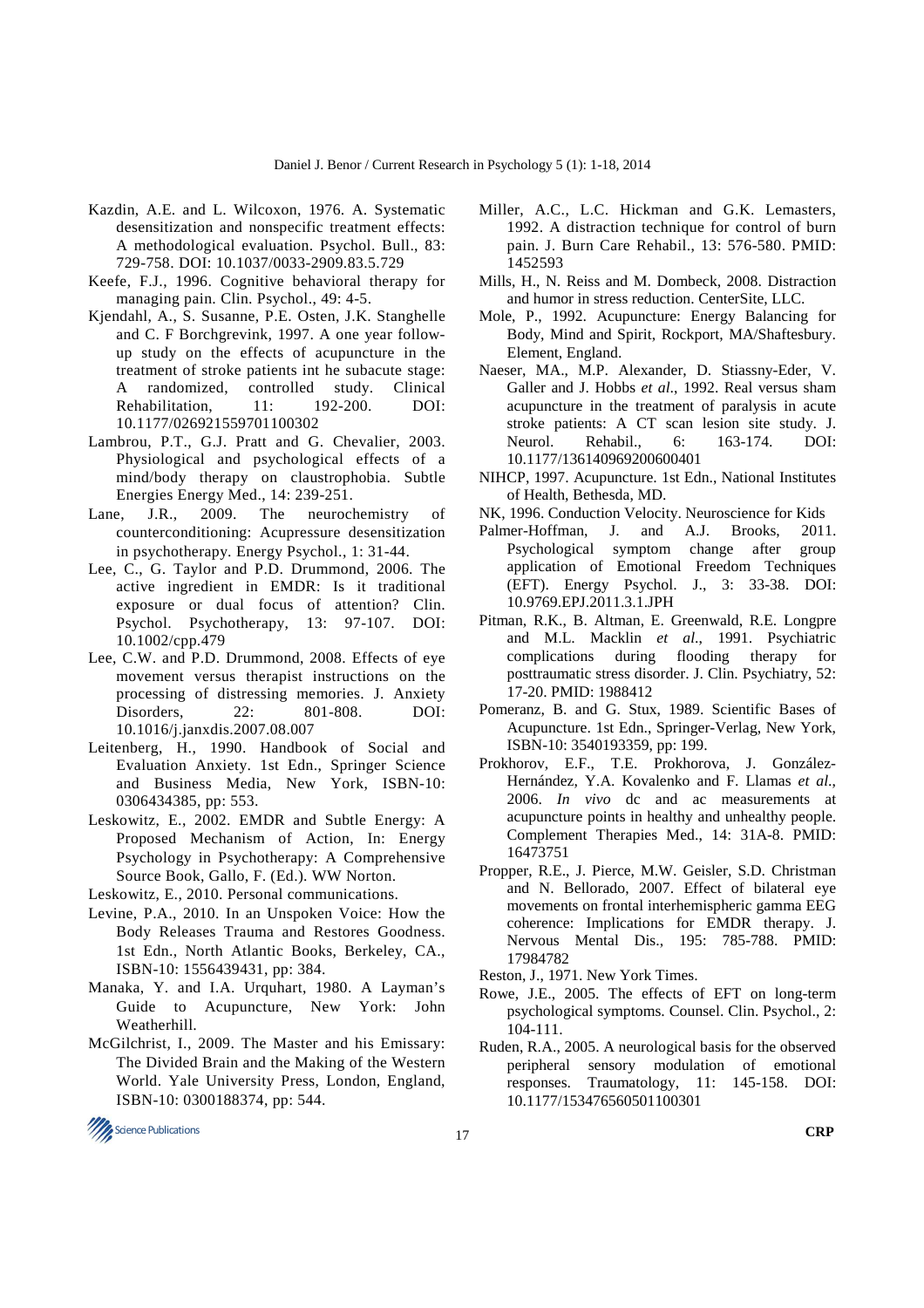- Kazdin, A.E. and L. Wilcoxon, 1976. A. Systematic desensitization and nonspecific treatment effects: A methodological evaluation. Psychol. Bull., 83: 729-758. DOI: 10.1037/0033-2909.83.5.729
- Keefe, F.J., 1996. Cognitive behavioral therapy for managing pain. Clin. Psychol., 49: 4-5.
- Kjendahl, A., S. Susanne, P.E. Osten, J.K. Stanghelle and C. F Borchgrevink, 1997. A one year followup study on the effects of acupuncture in the treatment of stroke patients int he subacute stage: A randomized, controlled study. Clinical Rehabilitation, 11: 192-200. DOI: 10.1177/026921559701100302
- Lambrou, P.T., G.J. Pratt and G. Chevalier, 2003. Physiological and psychological effects of a mind/body therapy on claustrophobia. Subtle Energies Energy Med., 14: 239-251.
- Lane, J.R., 2009. The neurochemistry of counterconditioning: Acupressure desensitization in psychotherapy. Energy Psychol., 1: 31-44.
- Lee, C., G. Taylor and P.D. Drummond, 2006. The active ingredient in EMDR: Is it traditional exposure or dual focus of attention? Clin. Psychol. Psychotherapy, 13: 97-107. DOI: 10.1002/cpp.479
- Lee, C.W. and P.D. Drummond, 2008. Effects of eye movement versus therapist instructions on the processing of distressing memories. J. Anxiety Disorders, 22: 801-808. DOI: 10.1016/j.janxdis.2007.08.007
- Leitenberg, H., 1990. Handbook of Social and Evaluation Anxiety. 1st Edn., Springer Science and Business Media, New York, ISBN-10: 0306434385, pp: 553.
- Leskowitz, E., 2002. EMDR and Subtle Energy: A Proposed Mechanism of Action, In: Energy Psychology in Psychotherapy: A Comprehensive Source Book, Gallo, F. (Ed.). WW Norton.

Leskowitz, E., 2010. Personal communications.

- Levine, P.A., 2010. In an Unspoken Voice: How the Body Releases Trauma and Restores Goodness. 1st Edn., North Atlantic Books, Berkeley, CA., ISBN-10: 1556439431, pp: 384.
- Manaka, Y. and I.A. Urquhart, 1980. A Layman's Guide to Acupuncture, New York: John Weatherhill.
- McGilchrist, I., 2009. The Master and his Emissary: The Divided Brain and the Making of the Western World. Yale University Press, London, England, ISBN-10: 0300188374, pp: 544.
- Miller, A.C., L.C. Hickman and G.K. Lemasters, 1992. A distraction technique for control of burn pain. J. Burn Care Rehabil., 13: 576-580. PMID: 1452593
- Mills, H., N. Reiss and M. Dombeck, 2008. Distraction and humor in stress reduction. CenterSite, LLC.
- Mole, P., 1992. Acupuncture: Energy Balancing for Body, Mind and Spirit, Rockport, MA/Shaftesbury. Element, England.
- Naeser, MA., M.P. Alexander, D. Stiassny-Eder, V. Galler and J. Hobbs *et al*., 1992. Real versus sham acupuncture in the treatment of paralysis in acute stroke patients: A CT scan lesion site study. J. Neurol. Rehabil., 6: 163-174. DOI: 10.1177/136140969200600401
- NIHCP, 1997. Acupuncture. 1st Edn., National Institutes of Health, Bethesda, MD.
- NK, 1996. Conduction Velocity. Neuroscience for Kids
- Palmer-Hoffman, J. and A.J. Brooks, 2011. Psychological symptom change after group application of Emotional Freedom Techniques (EFT). Energy Psychol. J., 3: 33-38. DOI: 10.9769.EPJ.2011.3.1.JPH
- Pitman, R.K., B. Altman, E. Greenwald, R.E. Longpre and M.L. Macklin *et al*., 1991. Psychiatric complications during flooding therapy for posttraumatic stress disorder. J. Clin. Psychiatry, 52: 17-20. PMID: 1988412
- Pomeranz, B. and G. Stux, 1989. Scientific Bases of Acupuncture. 1st Edn., Springer-Verlag, New York, ISBN-10: 3540193359, pp: 199.
- Prokhorov, E.F., T.E. Prokhorova, J. González-Hernández, Y.A. Kovalenko and F. Llamas *et al*., 2006. *In vivo* dc and ac measurements at acupuncture points in healthy and unhealthy people. Complement Therapies Med., 14: 31A-8. PMID: 16473751
- Propper, R.E., J. Pierce, M.W. Geisler, S.D. Christman and N. Bellorado, 2007. Effect of bilateral eye movements on frontal interhemispheric gamma EEG coherence: Implications for EMDR therapy. J. Nervous Mental Dis., 195: 785-788. PMID: 17984782

Reston, J., 1971. New York Times.

- Rowe, J.E., 2005. The effects of EFT on long-term psychological symptoms. Counsel. Clin. Psychol., 2: 104-111.
- Ruden, R.A., 2005. A neurological basis for the observed peripheral sensory modulation of emotional responses. Traumatology, 11: 145-158. DOI: 10.1177/153476560501100301